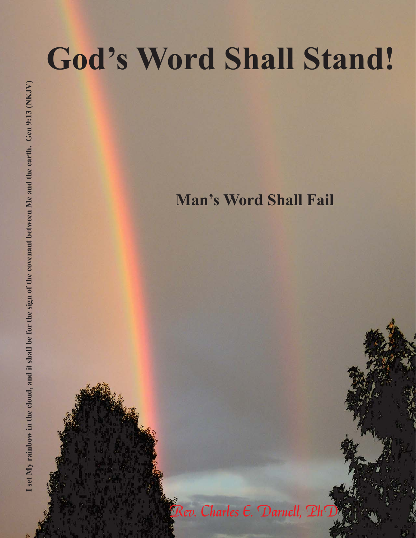## **God's Word Shall Stand!**

**Man's Word Shall Fail**

Rev. Charles E. Darnell, PhD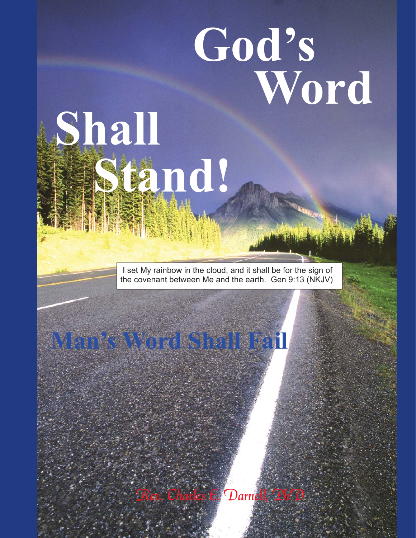# **God's Word Shall**

I set My rainbow in the cloud, and it shall be for the sign of the covenant between Me and the earth. Gen 9:13 (NKJV)

**Stand!**

**Man's Word Shall Fail**

Rev. Charles E. Darnell, PhD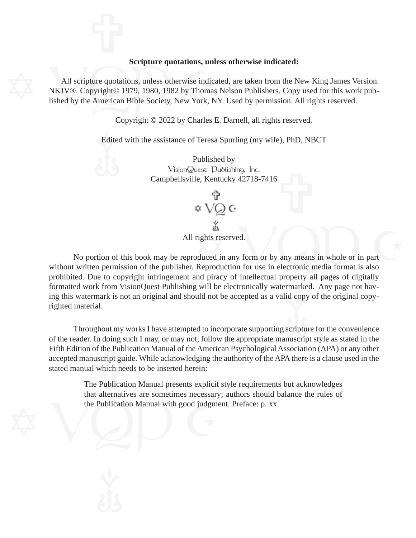#### **Scripture quotations, unless otherwise indicated:**

Scripture quotations, unlocations, unlocations and All scripture quotations, unless otherwise indicated NKJV®. Copyright© 1979, 1980, 1982 by Thomas lished by the American Bible Society, New York, N lished by the American Bible Society, New York, NY. Used by permission. All rights reserved. All scripture quotations, unless otherwise indicated, are taken from the New King James Version. NKJV®. Copyright© 1979, 1980, 1982 by Thomas Nelson Publishers. Copy used for this work pub-

Copyright © 2022 by Charles E. Darnell, all rights reserved.

Edited<br>
<u>1999</u> Edited with the assistance of Teresa Spurling (my wife), PhD, NBCT

÷ Published by VisionQuest Publishing, Inc. Campbellsville, Kentucky 42718-7416

All rights reserved.

ing this watermark is not an original and should not be accepted as a valid copy of the original copy-<br>righted material.<br>Throughout my works I have attempted to incorporate supporting scripture for the convenience formatted work from VisionQuest Publishing will be electronically watermarked. Any page not havrights reserved.<br>
Soluced in any form or by any means in whole or in part<br>
Reproduction for use in electronic media format is also<br>
Not piracy of intellectual property all pages of digitally No portion of this book may be reproduced in any form or by any means in whole or in part without written permission of the publisher. Reproduction for use in electronic media format is also prohibited. Due to copyright infringement and piracy of intellectual property all pages of digitally righted material.

In doing su<br>
of the Public<br>
nuscript guid<br>
al which need<br>
he Publication Throughout my works I have attempted to incorporate supporting scripture for the convenience of the reader. In doing such I may, or may not, follow the appropriate manuscript style as stated in the Fifth Edition of the Publication Manual of the American Psychological Association (APA) or any other accepted manuscript guide. While acknowledging the authority of the APA there is a clause used in the stated manual which needs to be inserted herein:

The Publication Manual with good judgment of the Publication Manual with good judgment The Publication Manual presents explicit style requirements but acknowledges that alternatives are sometimes necessary; authors should balance the rules of the Publication Manual with good judgment. Preface: p. xx.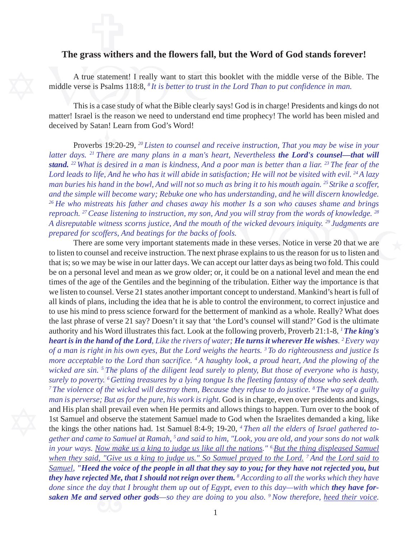### $\frac{1}{\sqrt{2}}$ **The grass withers and the flowers fall, but the Word of God stands forever!**

A true statement! I really want to start this<br>middle verse is Psalms 118:8, <sup>8</sup>*It is better to trust in*<br>This is a case study of what the Bible clearly<br>matter! Israel is the reason we need to understand en A true statement! I really want to start this booklet with the middle verse of the Bible. The middle verse is Psalms 118:8, *8 It is better to trust in the Lord Than to put confidence in man.*

This is a case study of what the Bible clearly says! God is in charge! Presidents and kings do not matter! Israel is the reason we need to understand end time prophecy! The world has been misled and deceived by Satan! Learn from God's Word!

bs 19:2<sup><br>There</sup> *is desir*<br>*is desir* **stand.** <sup>22</sup> What is desired in a man is kindness, And a poor man is better than a liar. <sup>23</sup> The fear of the Lord leads to life, And he who has it will abide in satisfaction; He will not be visited with evil. <sup>24</sup> A lazy Proverbs 19:20-29, *20 Listen to counsel and receive instruction, That you may be wise in your latter days.* <sup>21</sup> *There are many plans in a man's heart, Nevertheless the Lord's counsel—that will Lord leads to life, And he who has it will abide in satisfaction; He will not be visited with evil. 24 A lazy man buries his hand in the bowl, And will not so much as bring it to his mouth again. 25 Strike a scoffer, and the simple will become wary; Rebuke one who has understanding, and he will discern knowledge. 26 He who mistreats his father and chases away his mother Is a son who causes shame and brings reproach. 27 Cease listening to instruction, my son, And you will stray from the words of knowledge. 28 A disreputable witness scorns justice, And the mouth of the wicked devours iniquity. 29 Judgments are prepared for scoffers, And beatings for the backs of fools.*

t the voirted Me,<br>day that<br>served *Samuel, "Heed the voice of the people in all that they say to you; for they have not rejected you, but* man is perverse; But as for the pure, his work is right.<br>and His plan shall prevail even when He permits and<br>1st Samuel and observe the statement Samuel made<br>the kings the other nations had. 1st Samuel 8:4-9; 1<br>*gether and gether and came to Samuel at Ramah, 5 and said to him, "Look, you are old, and your sons do not walk* **e hand of th**<br>ight in his o<br>able to the I<br>in. <sup>5</sup> The pla<br>erty. <sup>6</sup> Gettin and. Ma<br>ment, to<br>s a who!<br>ill stand<br>, Prover we listen to counsel. Verse 21 states another important concept to understand. Mankind's heart is full of e mouth of the wicked devours iniquity. <sup>29</sup> Judgments are<br>acks of fools.<br>nents made in these verses. Notice in verse 20 that we are<br>ne next phrase explains to us the reason for us to listen and<br>We can accept our latter da that is; so we may be wise in our latter days. We can accept our latter days as being two fold. This could There are some very important statements made in these verses. Notice in verse 20 that we are to listen to counsel and receive instruction. The next phrase explains to us the reason for us to listen and be on a personal level and mean as we grow older; or, it could be on a national level and mean the end times of the age of the Gentiles and the beginning of the tribulation. Either way the importance is that all kinds of plans, including the idea that he is able to control the environment, to correct injustice and to use his mind to press science forward for the betterment of mankind as a whole. Really? What does the last phrase of verse 21 say? Doesn't it say that 'the Lord's counsel will stand?' God is the ultimate authority and his Word illustrates this fact. Look at the following proverb, Proverb 21:1-8, *1 The king's heart is in the hand of the Lord, Like the rivers of water; He turns it wherever He wishes. 2 Every way of a man is right in his own eyes, But the Lord weighs the hearts. 3 To do righteousness and justice Is more acceptable to the Lord than sacrifice. 4 A haughty look, a proud heart, And the plowing of the wicked are sin. 5 The plans of the diligent lead surely to plenty, But those of everyone who is hasty, surely to poverty. 6 Getting treasures by a lying tongue Is the fleeting fantasy of those who seek death. 7 The violence of the wicked will destroy them, Because they refuse to do justice. 8 The way of a guilty man is perverse; But as for the pure, his work is right.* God is in charge, even over presidents and kings, and His plan shall prevail even when He permits and allows things to happen. Turn over to the book of 1st Samuel and observe the statement Samuel made to God when the Israelites demanded a king, like the kings the other nations had. 1st Samuel 8:4-9; 19-20, *4 Then all the elders of Israel gathered toin your ways. Now make us a king to judge us like all the nations." 6 But the thing displeased Samuel when they said, "Give us a king to judge us." So Samuel prayed to the Lord. 7 And the Lord said to they have rejected Me, that I should not reign over them. <sup>8</sup> According to all the works which they have done since the day that I brought them up out of Egypt, even to this day—with which they have forsaken Me and served other gods—so they are doing to you also. 9 Now therefore, heed their voice.*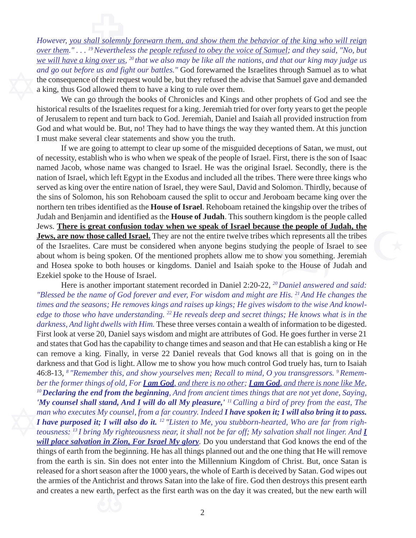We will have a king over as, that we also may be tike to<br>and go out before us and fight our battles." God foreware<br>the consequence of their request would be, but they refuse<br>a king, thus God allowed them to have a king to *Fowever, you shall solemnly forewarn them, and show them the behavior of the king who will reign*<br>*over them." . . . <sup>19</sup> Nevertheless the <u>people refused to obey the voice of Samuel</u>; and they said, "No, but However, you shall solemnly forewarn them, and show them the behavior of the king who will reign we will have a king over us, 20 that we also may be like all the nations, and that our king may judge us and go out before us and fight our battles."* God forewarned the Israelites through Samuel as to what the consequence of their request would be, but they refused the advise that Samuel gave and demanded a king, thus God allowed them to have a king to rule over them.

 God and what would be. But, no! They had to have things the way they wanted them. At this junction We can go through the books of Chronicles and Kings and other prophets of God and see the historical results of the Israelites request for a king. Jeremiah tried for over forty years to get the people of Jerusalem to repent and turn back to God. Jeremiah, Daniel and Isaiah all provided instruction from I must make several clear statements and show you the truth.

ral clear<br>ral clear<br>joing to<br>lish who<br>ose nan e speak of Israel because the people of Judah, the<br>the entire twelve tribes which represents all the tribes<br>a anyone begins studying the people of Israel to see<br>prophets allow me to show you something. Jeremiah<br>Daniel and named Jacob, whose name was changed to Israel. He was the original Israel. Secondly, there is the nation of Israel, which left Egypt in the Exodus and included all the tribes. There were three kings who served as king over If we are going to attempt to clear up some of the misguided deceptions of Satan, we must, out of necessity, establish who is who when we speak of the people of Israel. First, there is the son of Isaac nation of Israel, which left Egypt in the Exodus and included all the tribes. There were three kings who served as king over the entire nation of Israel, they were Saul, David and Solomon. Thirdly, because of the sins of Solomon, his son Rehoboam caused the split to occur and Jeroboam became king over the northern ten tribes identified as the **House of Israel**. Rehoboam retained the kingship over the tribes of Judah and Benjamin and identified as the **House of Judah**. This southern kingdom is the people called Jews. **There is great confusion today when we speak of Israel because the people of Judah, the Jews, are now those called Israel.** They are not the entire twelve tribes which represents all the tribes of the Israelites. Care must be considered when anyone begins studying the people of Israel to see about whom is being spoken. Of the mentioned prophets allow me to show you something. Jeremiah and Hosea spoke to both houses or kingdoms. Daniel and Isaiah spoke to the House of Judah and Ezekiel spoke to the House of Israel.

released for a short season after the 1000 years, the whole of Earth is deceived by Satan. God wipes out the armies of the Antichrist and throws Satan into the lake of fire. God then destroys this present earth and creates *'My counsel shall stand, And I will do all My pleasure*<br>man who executes My counsel, from a far country. Indeed<br>*I have purposed it; I will also do it.* <sup>12</sup> *"Listen to Me, y*<br>teousness: <sup>13</sup>*I bring My righteousness ne will place salvation in Zion, For Israel My glory.* Do you understand that God knows the end of the and states that God has the capability to change times and season and that He can establish a king or He can remove a king. Finally, in verse 22 Daniel reveals that God knows all that is going on in the darkness and that G *lis. <sup>21</sup> An*<br>*pm to th*<br>*; He kn*<br>format<br>le goes i Here is another important statement recorded in Daniel 2:20-22, *20 Daniel answered and said: "Blessed be the name of God forever and ever, For wisdom and might are His. 21 And He changes the times and the seasons; He removes kings and raises up kings; He gives wisdom to the wise And knowledge to those who have understanding. 22 He reveals deep and secret things; He knows what is in the darkness, And light dwells with Him.* These three verses contain a wealth of information to be digested. First look at verse 20, Daniel says wisdom and might are attributes of God. He goes further in verse 21 can remove a king. Finally, in verse 22 Daniel reveals that God knows all that is going on in the darkness and that God is light. Allow me to show you how much control God truely has, turn to Isaiah 46:8-13, *8 "Remember this, and show yourselves men; Recall to mind, O you transgressors. 9 Remember the former things of old, For I am God, and there is no other; I am God, and there is none like Me, <sup>10</sup>Declaring the end from the beginning, And from ancient times things that are not yet done, Saying, 'My counsel shall stand, And I will do all My pleasure,' 11 Calling a bird of prey from the east, The man who executes My counsel, from a far country. Indeed I have spoken it; I will also bring it to pass. I have purposed it; I will also do it. 12 "Listen to Me, you stubborn-hearted, Who are far from righteousness: 13 I bring My righteousness near, it shall not be far off; My salvation shall not linger. And I* things of earth from the beginning. He has all things planned out and the one thing that He will remove from the earth is sin. Sin does not enter into the Millennium Kingdom of Christ. But, once Satan is the armies of the Antichrist and throws Satan into the lake of fire. God then destroys this present earth and creates a new earth, perfect as the first earth was on the day it was created, but the new earth will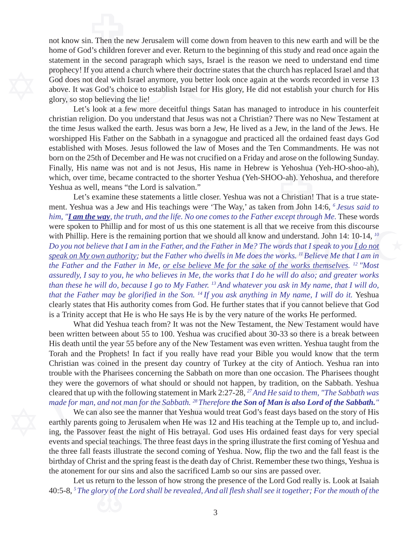statement in the second paragraph which says, is<br>prophecy! If you attend a church where their doctrin<br>God does not deal with Israel anymore, you better I<br>above. It was God's choice to establish Israel for H<br>glory, so stop n. Then the r<br>d's children not know sin. Then the new Jerusalem will come down from heaven to this new earth and will be the home of God's children forever and ever. Return to the beginning of this study and read once again the statement in the second paragraph which says, Israel is the reason we need to understand end time prophecy! If you attend a church where their doctrine states that the church has replaced Israel and that God does not deal with Israel anymore, you better look once again at the words recorded in verse 13 above. It was God's choice to establish Israel for His glory, He did not establish your church for His glory, so stop believing the lie!

is Father<br>th Mos<br>th of De<br>ame wa the time Jesus walked the earth. Jesus was born a Jew, He lived as a Jew, in the land of the Jews. He Factor and Schen<br>C-ah). Yeho<br>a Christian!<br>from John 1 Let's look at a few more deceitful things Satan has managed to introduce in his counterfeit christian religion. Do you understand that Jesus was not a Christian? There was no New Testament at worshipped His Father on the Sabbath in a synagogue and practiced all the ordained feast days God established with Moses. Jesus followed the law of Moses and the Ten Commandments. He was not born on the 25th of December and He was not crucified on a Friday and arose on the following Sunday. Finally, His name was not and is not Jesus, His name in Hebrew is Yehoshua (Yeh-HO-shoo-ah), which, over time, became contracted to the shorter Yeshua (Yeh-SHOO-ah). Yehoshua, and therefore Yeshua as well, means "the Lord is salvation."

*Iy name*<br>f you ca<br>e works<br>e New T<br>3 so the s one statement is all that we receive from this discourse<br>at we should all know and understand. John 14: 10-14, <sup>10</sup><br>*d the Father in Me? The words that I speak to you <u>I do not</u><br>ho dwells in Me does the works. <sup>11</sup> Beli* Let's examine these statements a little closer. Yeshua was not a Christian! That is a true statement. Yeshua was a Jew and His teachings were 'The Way,' as taken from John 14:6, *6 Jesus said to him, "I am the way, the truth, and the life. No one comes to the Father except through Me.* These words were spoken to Phillip and for most of us this one statement is all that we receive from this discourse with Phillip. Here is the remaining portion that we should all know and understand. John 14: 10-14, <sup>10</sup> *Do you not believe that I am in the Father, and the Father in Me? The words that I speak to you I do not speak on My own authority; but the Father who dwells in Me does the works. 11 Believe Me that I am in the Father and the Father in Me, or else believe Me for the sake of the works themselves. 12 "Most assuredly, I say to you, he who believes in Me, the works that I do he will do also; and greater works than these he will do, because I go to My Father. 13 And whatever you ask in My name, that I will do, that the Father may be glorified in the Son.* <sup>14</sup> If you ask anything in My name, I will do it. Yeshua clearly states that His authority comes from God. He further states that if you cannot believe that God is a Trinity accept that He is who He says He is by the very nature of the works He performed.

Exercise and<br>til the year 5<br>he Prophets!<br>is coined in<br>the Pharisee<br>e governors What did Yeshua teach from? It was not the New Testament, the New Testament would have been written between about 55 to 100. Yeshua was crucified about 30-33 so there is a break between His death until the year 55 before any of the New Testament was even written. Yeshua taught from the Torah and the Prophets! In fact if you really have read your Bible you would know that the term Christian was coined in the present day country of Turkey at the city of Antioch. Yeshua ran into trouble with the Pharisees concerning the Sabbath on more than one occasion. The Pharisees thought they were the governors of what should or should not happen, by tradition, on the Sabbath. Yeshua cleared that up with the following statement in Mark 2:27-28, *27 And He said to them, "The Sabbath was*

*made for man, and not man for the Sabbath.* <sup>28</sup> *Therefore the Son of Man is also Lord of the Sabbath.* **<sup>"</sup><br>We can also see the manner that Yeshua would treat God's feast days based on the story of His<br>earthly parents g** We can also see the manner that Yeshua would treat God's feast days based on the story of His earthly parents going to Jerusalem when He was 12 and His teaching at the Temple up to, and including, the Passover feast the night of His betrayal. God uses His ordained feast days for very special events and special teachings. The three feast days in the spring illustrate the first coming of Yeshua and the three fall feasts illustrate the second coming of Yeshua. Now, flip the two and the fall feast is the birthday of Christ and the spring feast is the death day of Christ. Remember these two things, Yeshua is the atonement for our sins and also the sacrificed Lamb so our sins are passed over.

for our<br>return to<br>*ory of th* Let us return to the lesson of how strong the presence of the Lord God really is. Look at Isaiah 40:5-8, *5 The glory of the Lord shall be revealed, And all flesh shall see it together; For the mouth of the*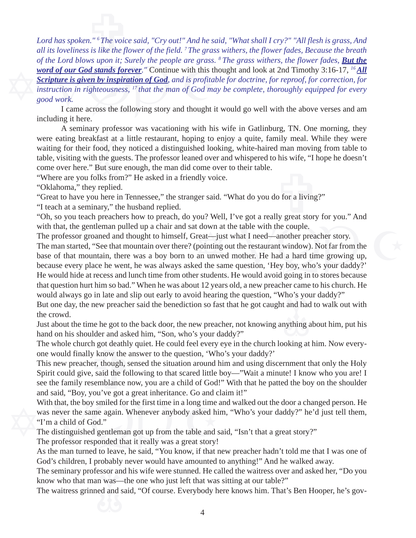both the same of the people are grass.<br> **Word of our God stands forever.**" Continue with this the scripture is given by inspiration of God, and is profital instruction in righteousness,  $17$  that the man of God ma good wo  $\frac{1}{2}$ <br> $\frac{1}{2}$ <br> $\frac{1}{2}$  is like the fl *Lord has spoken." 6 The voice said, "Cry out!" And he said, "What shall I cry?" "All flesh is grass, And all its loveliness is like the flower of the field. 7 The grass withers, the flower fades, Because the breath of the Lord blows upon it; Surely the people are grass. 8 The grass withers, the flower fades, But the word of our God stands forever."* Continue with this thought and look at 2nd Timothy 3:16-17, *16 All Scripture is given by inspiration of God, and is profitable for doctrine, for reproof, for correction, for instruction in righteousness, 17 that the man of God may be complete, thoroughly equipped for every good work.*

I came across the following story and thought it would go well with the above verses and am including it here.

were eating breakfast at a little restaurant, hoping to enjoy a quite, family meal. While they were waiting for their food, they noticed a distinguished looking, white-haired man moving from table to table, visiting with t A seminary professor was vacationing with his wife in Gatlinburg, TN. One morning, they this wife, 11 waiting for their food, they noticed a distinguished looking, white-haired man moving from table to table, visiting with the guests. The professor leaned over and whispered to his wife, "I hope he doesn't come over here." But sure enough, the man did come over to their table.

"Where are you folks from?" He asked in a friendly voice.

"Oklahoma," they replied.

"Great to have you here in Tennessee," the stranger said. "What do you do for a living?"

"I teach at a seminary," the husband replied.

"Oh, so you teach preachers how to preach, do you? Well, I've got a really great story for you." And with that, the gentleman pulled up a chair and sat down at the table with the couple.

The professor groaned and thought to himself, Great—just what I need—another preacher story.

t down at the table with the couple.<br>
Freat—just what I need—another preacher story.<br>
(pointing out the restaurant window). Not far from the<br>
an unwed mother. He had a hard time growing up,<br>
ed the same question, 'Hey boy, The man started, "See that mountain over there? (pointing out the restaurant window). Not far from the base of that mountain, there was a boy born to an unwed mother. He had a hard time growing up, because every place he went, he was always asked the same question, 'Hey boy, who's your daddy?' He would hide at recess and lunch time from other students. He would avoid going in to stores because that question hurt him so bad." When he was about 12 years old, a new preacher came to his church. He

would always go in late and slip out early to avoid hearing the question, "Who's your daddy?"<br>But one day, the new preacher said the benediction so fast that he got caught and had to walk of<br>the crowd.<br>Just about the time But one day, the new preacher said the benediction so fast that he got caught and had to walk out with the crowd.

Just about the time he got to the back door, the new preacher, not knowing anything about him, put his hand on his shoulder and asked him, "Son, who's your daddy?"

one would finally know the answer to the question, 'Who's your daddy?'

The whole church got deathly quiet. He could feel every eye in the church looking at him. Now every-<br>one would finally know the answer to the question, 'Who's your daddy?'<br>This new preacher, though, sensed the situation ar This new preacher, though, sensed the situation around him and using discernment that only the Holy Spirit could give, said the following to that scared little boy—"Wait a minute! I know who you are! I see the family resemblance now, you are a child of God!" With that he patted the boy on the shoulder and said, "Boy, you've got a great inheritance. Go and claim it!"

With that, the boy smiled for the first time in a long time a<br>was never the same again. Whenever anybody asked hi<br>"I'm a child of God."<br>The distinguished gentleman got up from the table and s<br>The professor responded that i With that, the boy smiled for the first time in a long time and walked out the door a changed person. He was never the same again. Whenever anybody asked him, "Who's your daddy?" he'd just tell them, "I'm a child of God."

The distinguished gentleman got up from the table and said, "Isn't that a great story?"

The professor responded that it really was a great story!

As the man turned to leave, he said, "You know, if that new preacher hadn't told me that I was one of God's children, I probably never would have amounted to anything!" And he walked away.

essor an<br>n was<br>ed and s The seminary professor and his wife were stunned. He called the waitress over and asked her, "Do you know who that man was—the one who just left that was sitting at our table?"

The waitress grinned and said, "Of course. Everybody here knows him. That's Ben Hooper, he's gov-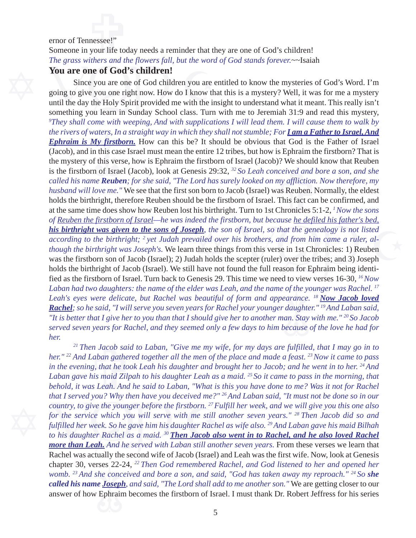### ernor of Tennessee!"<br>Someone in your life today needs a reminder that they are one of God's children! ernor of Tennessee!"

*The grass withers and the flowers fall, but the word of God stands forever.*~~Isaiah

#### **You are one of God's children!**

*aters, Ir*<br>I<mark>y *firstl*</mark><br>I this ver<br>I of Isra *the rivers of waters, In a straight way in which they shall not stumble; For I am a Father to Israel, And* **Solution 2018** - Since you are one of God's children!<br>
Since you are one of God's children!<br>
Since you are one of God children you are entitled to know the mysteries of God's Word. I'm<br>
going to give you one right now. Ho until the day the Holy Spirit provided me with the insight to understand what it meant. This really isn't eg *ince*<br> *daughte*<br> *daughte*<br> *an*. Stay<br> *Decause Laban had two daughters: the name of the elder was Leah, and the name of the younger was Rachel. 17* **ighth**, the son of Israel, so that the genealogy is not listed<br>vailed over his brothers, and from him came a ruler, al-<br>three things from this verse in 1st Chronicles: 1) Reuben<br>lah holds the scepter (ruler) over the tri was the firstborn son of Jacob (Israel); 2) Judah holds the scepter (ruler) over the tribes; and 3) Joseph )? We should<br>invertived and l<br>my affliction.<br>as Reuben. N<br>This fact car<br>Chronicles 5 Since you are one of God children you are entitled to know the mysteries of God's Word. I'm going to give you one right now. How do I know that this is a mystery? Well, it was for me a mystery *9 They shall come with weeping, And with supplications I will lead them. I will cause them to walk by Ephraim is My firstborn.* How can this be? It should be obvious that God is the Father of Israel (Jacob), and in this case Israel must mean the entire 12 tribes, but how is Ephraim the firstborn? That is the mystery of this verse, how is Ephraim the firstborn of Israel (Jacob)? We should know that Reuben is the firstborn of Israel (Jacob), look at Genesis 29:32, *32 So Leah conceived and bore a son, and she called his name Reuben; for she said, "The Lord has surely looked on my affliction. Now therefore, my husband will love me."* We see that the first son born to Jacob (Israel) was Reuben. Normally, the eldest holds the birthright, therefore Reuben should be the firstborn of Israel. This fact can be confirmed, and at the same time does show how Reuben lost his birthright. Turn to 1st Chronicles 5:1-2, *1 Now the sons of Reuben the firstborn of Israel—he was indeed the firstborn, but because he defiled his father's bed, his birthright was given to the sons of Joseph, the son of Israel, so that the genealogy is not listed according to the birthright; 2 yet Judah prevailed over his brothers, and from him came a ruler, although the birthright was Joseph's.* We learn three things from this verse in 1st Chronicles: 1) Reuben holds the birthright of Jacob (Israel). We still have not found the full reason for Ephraim being identified as the firstborn of Israel. Turn back to Genesis 29. This time we need to view verses 16-30, *16 Now* Leah's eyes were delicate, but Rachel was beautiful of form and appearance. <sup>18</sup> Now Jacob loved *Rachel; so he said, "I will serve you seven years for Rachel your younger daughter." 19 And Laban said, "It is better that I give her to you than that I should give her to another man. Stay with me." 20 So Jacob served seven years for Rachel, and they seemed only a few days to him because of the love he had for her.*

womb. <sup>23</sup> And she conceived and bore a son, and said, "God has taken away my reproach." <sup>24</sup> So **she** called his name <u>Joseph</u>, and said, "The Lord shall add to me another son." We are getting closer to our answer of how chapter 30, verses 22-24, *22 Then God remembered Rachel, and God listened to her and opened her* Final Pserved you: Why then have you deceived the:<br>
country, to give the younger before the firstborn.<sup>27</sup> F<br>
for the service which you will serve with me still<br>
fulfilled her week. So he gave him his daughter Rach<br>
to hi *to his daughter Rachel as a maid. 30 Then Jacob also went in to Rachel, and he also loved Rachel* en Jacob sai<br>Laban gathei<br>g, that he too<br>his maid Zilp<br>us Leah. And *21 Then Jacob said to Laban, "Give me my wife, for my days are fulfilled, that I may go in to her." 22 And Laban gathered together all the men of the place and made a feast. 23 Now it came to pass in the evening, that he took Leah his daughter and brought her to Jacob; and he went in to her. 24 And Laban gave his maid Zilpah to his daughter Leah as a maid. 25 So it came to pass in the morning, that behold, it was Leah. And he said to Laban, "What is this you have done to me? Was it not for Rachel that I served you? Why then have you deceived me?" 26 And Laban said, "It must not be done so in our country, to give the younger before the firstborn. 27 Fulfill her week, and we will give you this one also for the service which you will serve with me still another seven years." 28 Then Jacob did so and fulfilled her week. So he gave him his daughter Rachel as wife also. 29 And Laban gave his maid Bilhah more than Leah. And he served with Laban still another seven years.* From these verses we learn that Rachel was actually the second wife of Jacob (Israel) and Leah was the first wife. Now, look at Genesis *called his name Joseph, and said, "The Lord shall add to me another son."* We are getting closer to our answer of how Ephraim becomes the firstborn of Israel. I must thank Dr. Robert Jeffress for his series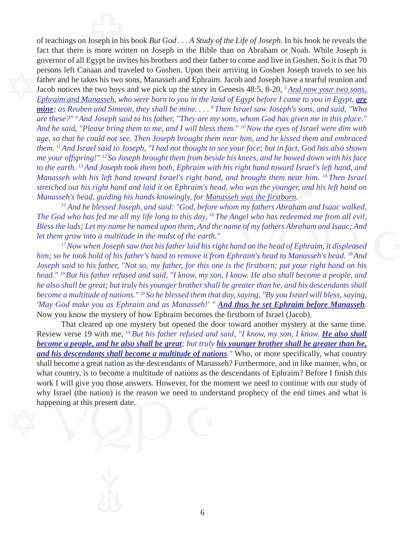uld not<br>uld not<br>! said to<br>! " <sup>12</sup> So <sub>"</sub> *And he said, "Please bring them to me, and I will bless them." 10 Now the eyes of Israel were dim with* governot of an Egypt ne invites ins brothers and then rate<br>persons left Canaan and traveled to Goshen. Upon their<br>father and he takes his two sons, Manasseh and Ephrain<br>Jacob notices the two boys and we pick up the story i *Ephraim and Manasseh, who were born to you in the land of Egypt before I came to you in Egypt, are* Joseph in his<br>is more writ e bowed dov<br>ward Israel'<br>em near him<br>ounger, and<br>stborn.<br>Abraham an of teachings on Joseph in his book *But God . . . A Study of the Life of Joseph.* In his book he reveals the fact that there is more written on Joseph in the Bible than on Abraham or Noah. While Joseph is governor of all Egypt he invites his brothers and their father to come and live in Goshen. So it is that 70 persons left Canaan and traveled to Goshen. Upon their arriving in Goshen Joseph travels to see his father and he takes his two sons, Manasseh and Ephraim. Jacob and Joseph have a tearful reunion and Jacob notices the two boys and we pick up the story in Genesis 48:5, 8-20, *5 And now your two sons, mine; as Reuben and Simeon, they shall be mine. . . . 8 Then Israel saw Joseph's sons, and said, "Who are these?" 9 And Joseph said to his father, "They are my sons, whom God has given me in this place." age, so that he could not see. Then Joseph brought them near him, and he kissed them and embraced them. 11 And Israel said to Joseph, "I had not thought to see your face; but in fact, God has also shown me your offspring!" 12 So Joseph brought them from beside his knees, and he bowed down with his face to the earth. 13 And Joseph took them both, Ephraim with his right hand toward Israel's left hand, and Manasseh with his left hand toward Israel's right hand, and brought them near him. 14 Then Israel stretched out his right hand and laid it on Ephraim's head, who was the younger, and his left hand on Manasseh's head, guiding his hands knowingly, for Manasseh was the firstborn.*

*15 And he blessed Joseph, and said: "God, before whom my fathers Abraham and Isaac walked, The God who has fed me all my life long to this day, 16 The Angel who has redeemed me from all evil, Bless the lads; Let my name be named upon them, And the name of my fathers Abraham and Isaac; And let them grow into a multitude in the midst of the earth."*

u Israel<br><mark>hraim l</mark><br>(Jacob)<br>nystery<br>on. I kn And the name of my fathers Abraham and Isaac; And<br>  $\mathcal{V}_e$  earth."<br>
id his right hand on the head of Ephraim, it displeased<br>
we it from Ephraim's head to Manasseh's head. <sup>18</sup> And<br>
this one is the firstborn; put your ri *17 Now when Joseph saw that his father laid his right hand on the head of Ephraim, it displeased him; so he took hold of his father's hand to remove it from Ephraim's head to Manasseh's head. 18 And Joseph said to his father, "Not so, my father, for this one is the firstborn; put your right hand on his head." 19 But his father refused and said, "I know, my son, I know. He also shall become a people, and he also shall be great; but truly his younger brother shall be greater than he, and his descendants shall become a multitude of nations." 20 So he blessed them that day, saying, "By you Israel will bless, saying, 'May God make you as Ephraim and as Manasseh!' " And thus he set Ephraim before Manasseh.* Now you know the mystery of how Ephraim becomes the firstborn of Israel (Jacob).

happening at this present date. *become a people, and he also shall be great; but truly his younger brother shall be greater than he, and his descendants shall become a multitude of nations.* " Who, or more specifically, what country shall become a gre That cleared up one mystery but opened the door toward another mystery at the same time. Review verse 19 with me, <sup>19</sup> But his father refused and said, "I know, my son, I know. *He also shall and his descendants shall become a multitude of nations."* Who, or more specifically, what country shall become a great nation as the descendants of Manasseh? Furthermore, and in like manner, who, or what country, is to become a multitude of nations as the descendants of Ephraim? Before I finish this work I will give you those answers. However, for the moment we need to continue with our study of why Israel (the nation) is the reason we need to understand prophecy of the end times and what is happening at this present date.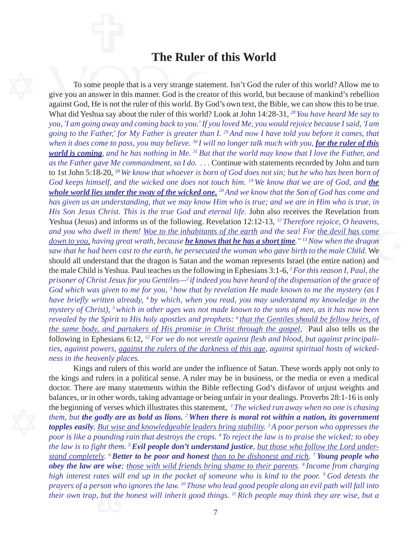#### **The Ruler of this World**

'ather,' f<br>ome to <sub>l</sub><br>ng, and<br>gave Me<br>8-20, <sup>18</sup> *going to the Father,' for My Father is greater than I. 29 And now I have told you before it comes, that* To some people that is a very strange statement of the same people that is a very strange statement of the creator against God, He is not the ruler of this world. By God What did Yeshua say about the ruler of this world? L against God, He is not the ruler of this world. By God's own text, the Bible, we can show this to be true. Ephesians 6<br>powers, <u>aga</u><br>eavenly place<br>s and rulers in a<br>d rulers in a nown ic<br>erstand<br>is of me<br><u>iles shoi</u><br>ospel, *God which was given to me for you, 3 how that by revelation He made known to me the mystery (as I* ng. Revelation 12:12-13, <sup>12</sup> Therefore rejoice, *O* heavens,<br>bitants of the earth and the sea! For <u>the devil has come</u><br>**knows that he has a short time**.<sup>" 13</sup> Now when the dragon<br>secuted the woman who gave birth to the should all understand that the dragon is Satan and the woman represents Israel (the entire nation) and ments record<br>in; but he wl<br>bw that we a<br>at the Son of<br>ad we are in . To some people that is a very strange statement. Isn't God the ruler of this world? Allow me to give you an answer in this manner. God is the creator of this world, but because of mankind's rebellion What did Yeshua say about the ruler of this world? Look at John 14:28-31, *28 You have heard Me say to you, 'I am going away and coming back to you.' If you loved Me, you would rejoice because I said, 'I am* when it does come to pass, you may believe. <sup>30</sup> I will no longer talk much with you, <mark>for the ruler of this</mark> *world is coming, and he has nothing in Me. 31 But that the world may know that I love the Father, and as the Father gave Me commandment, so I do. . . .* Continue with statements recorded by John and turn to 1st John 5:18-20, *18 We know that whoever is born of God does not sin; but he who has been born of God keeps himself, and the wicked one does not touch him.* <sup>19</sup> We know that we are of God, and *the whole world lies under the sway of the wicked one. 20 And we know that the Son of God has come and has given us an understanding, that we may know Him who is true; and we are in Him who is true, in His Son Jesus Christ. This is the true God and eternal life.* John also receives the Revelation from Yeshua (Jesus) and informs us of the following. Revelation 12:12-13, *12 Therefore rejoice, O heavens, and you who dwell in them! Woe to the inhabitants of the earth and the sea! For the devil has come down to you, having great wrath, because he knows that he has a short time." 13 Now when the dragon saw that he had been cast to the earth, he persecuted the woman who gave birth to the male Child.* We the male Child is Yeshua. Paul teaches us the following in Ephesians 3:1-6, *1 For this reason I, Paul, the prisoner of Christ Jesus for you Gentiles—2 if indeed you have heard of the dispensation of the grace of have briefly written already, 4 by which, when you read, you may understand my knowledge in the mystery of Christ), 5 which in other ages was not made known to the sons of men, as it has now been revealed by the Spirit to His holy apostles and prophets: 6 that the Gentiles should be fellow heirs, of the same body, and partakers of His promise in Christ through the gospel,* Paul also tells us the following in Ephesians 6:12, *12 For we do not wrestle against flesh and blood, but against principalities, against powers, against the rulers of the darkness of this age, against spiritual hosts of wickedness in the heavenly places.*

re wise,<br>ates wil<br>rson wh<br>but the *obey the law are wise; those with wild friends bring shame to their parents. 8 Income from charging* balances, or in other words, taking advantage or being<br>the beginning of verses which illustrates this statemer<br>*them, but the godly are as bold as lions. <sup>2</sup> When the<br>topples easily. <u>But wise and knowledgeable lead*</u> *poor is like a pounding rain that destroys the crops. 4 To reject the law is to praise the wicked; to obey* Kings and rulers of this world are under the influence of Satan. These words apply not only to the kings and rulers in a political sense. A ruler may be in business, or the media or even a medical doctor. There are many statements within the Bible reflecting God's disfavor of unjust weights and balances, or in other words, taking advantage or being unfair in your dealings. Proverbs 28:1-16 is only the beginning of verses which illustrates this statement, *1 The wicked run away when no one is chasing them, but the godly are as bold as lions. <sup>2</sup>When there is moral rot within a nation, its government topples easily. But wise and knowledgeable leaders bring stability. 3 A poor person who oppresses the the law is to fight them. 5 Evil people don't understand justice, but those who follow the Lord understand completely. 6 Better to be poor and honest than to be dishonest and rich. 7 Young people who high interest rates will end up in the pocket of someone who is kind to the poor. 9 God detests the prayers of a person who ignores the law. 10 Those who lead good people along an evil path will fall into their own trap, but the honest will inherit good things. 11 Rich people may think they are wise, but a*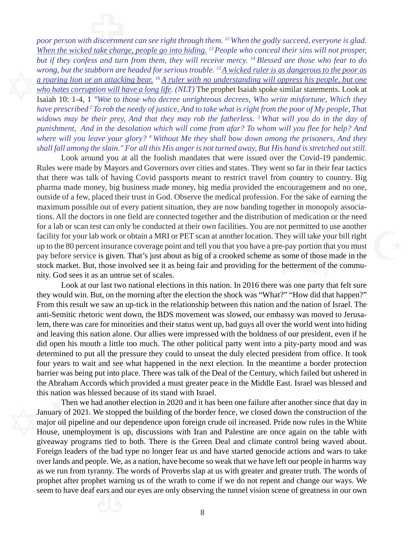where will you leave your glory? <sup>4</sup> Without Me they shall bow down among the prisoners, And they shall fall among the slain." For all this His anger is not turned away, But His hand is stretched out still.<br>Look around you *punishment, And in the desolation which will come from afar? To whom will you flee for help? And* but if they conjess and turn from them, they will receive wrong, but the stubborn are headed for serious trouble.<br>
a roaring lion or an attacking bear. <sup>16</sup> A ruler with no u<br>
who hates corruption will have a long life. ( Isaiah 10: 1-4, 1 *"Woe to those who decree unrighteous decrees, Who write misfortune, Which they* **Exercise**<br>A discernment<br>A take chare *poor person with discernment can see right through them. 12 When the godly succeed, everyone is glad. When the wicked take charge, people go into hiding. 13 People who conceal their sins will not prosper, but if they confess and turn from them, they will receive mercy. 14 Blessed are those who fear to do wrong, but the stubborn are headed for serious trouble. 15 A wicked ruler is as dangerous to the poor as a roaring lion or an attacking bear. 16 A ruler with no understanding will oppress his people, but one who hates corruption will have a long life. (NLT)* The prophet Isaiah spoke similar statements. Look at *have prescribed 2 To rob the needy of justice, And to take what is right from the poor of My people, That widows may be their prey, And that they may rob the fatherless. 3 What will you do in the day of shall fall among the slain." For all this His anger is not turned away, But His hand is stretched out still.*

ir own facilities. You are not permitted to use another<br>scan at another location. They will take your bill right<br>tell you that you have a pre-pay portion that you must<br>big of a crooked scheme as some of those made in the<br>f Rules were made by Mayors and Governors over cities and states. They went so far in their fear tactics that there was talk of having Covid passports meant to restrict travel from country to country. Big pharma made money, Look around you at all the foolish mandates that were issued over the Covid-19 pandemic. that there was talk of having Covid passports meant to restrict travel from country to country. Big pharma made money, big business made money, big media provided the encouragement and no one, outside of a few, placed their trust in God. Observe the medical profession. For the sake of earning the maximum possible out of every patient situation, they are now banding together in monopoly associations. All the doctors in one field are connected together and the distribution of medication or the need for a lab or scan test can only be conducted at their own facilities. You are not permitted to use another facility for your lab work or obtain a MRI or PET scan at another location. They will take your bill right up to the 80 percent insurance coverage point and tell you that you have a pre-pay portion that you must pay before service is given. That's just about as big of a crooked scheme as some of those made in the stock market. But, those involved see it as being fair and providing for the betterment of the community. God sees it as an untrue set of scales.

and ideaving this nation afolic. Our affices were impressed with the botaliess of our president, even if ned<br>did open his mouth a little too much. The other political party went into a pity-party mood and was<br>determined to they would win. But, on the morning after the election the shock was "What?" "How did that happen?"<br>From this result we saw an up-tick in the relationship between this nation and the nation of Israel. The<br>anti-Semitic rhet Look at our last two national elections in this nation. In 2016 there was one party that felt sure From this result we saw an up-tick in the relationship between this nation and the nation of Israel. The anti-Semitic rhetoric went down, the BDS movement was slowed, our embassy was moved to Jerusalem, there was care for minorities and their status went up, bad guys all over the world went into hiding and leaving this nation alone. Our allies were impressed with the boldness of our president, even if he determined to put all the pressure they could to unseat the duly elected president from office. It took four years to wait and see what happened in the next election. In the meantime a border protection barrier was being put into place. There was talk of the Deal of the Century, which failed but ushered in the Abraham Accords which provided a must greater peace in the Middle East. Israel was blessed and this nation was blessed because of its stand with Israel.

as we run from tyranny. The words of Proverbs slap at us with greater and greater truth. The words of prophet after prophet warning us of the wrath to come if we do not repent and change our ways. We seem to have deaf ears Then we had another election in 2020 and it has b<br>January of 2021. We stopped the building of the border f<br>major oil pipeline and our dependence upon foreign crue<br>House, unemployment is up, discussions with Iran and<br>giveaw giveaway programs tied to both. There is the Green Deal and climate control being waved about. Then we had another election in 2020 and it has been one failure after another since that day in January of 2021. We stopped the building of the border fence, we closed down the construction of the major oil pipeline and our dependence upon foreign crude oil increased. Pride now rules in the White House, unemployment is up, discussions with Iran and Palestine are once again on the table with Foreign leaders of the bad type no longer fear us and have started genocide actions and wars to take over lands and people. We, as a nation, have become so weak that we have left our people in harms way prophet after prophet warning us of the wrath to come if we do not repent and change our ways. We seem to have deaf ears and our eyes are only observing the tunnel vision scene of greatness in our own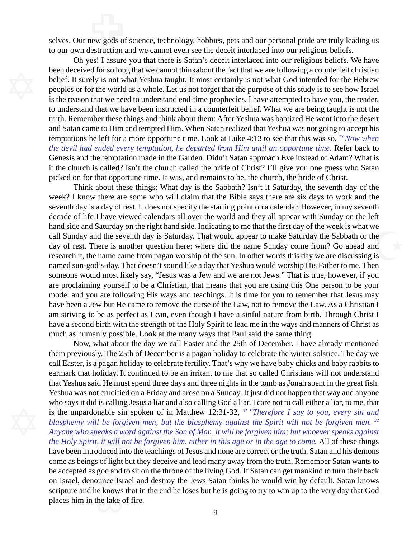new gods of<br>destruction a selves. Our new gods of science, technology, hobbies, pets and our personal pride are truly leading us to our own destruction and we cannot even see the deceit interlaced into our religious beliefs.

e te 1111<br>ended e<br>ne tempt<br>s called and Satan came to Him and tempted Him. When Satan realized that Yeshua was not going to accept his On yes: 1 assure you that there is Satan's de<br>been deceived for so long that we cannot thinkabout t<br>belief. It surely is not what Yeshua taught. It most c<br>peoples or for the world as a whole. Let us not forge<br>is the reason is the reason that we need to understand end-time prophecies. I have attempted to have you, the reader, Oh yes! I assure you that there is Satan's deceit interlaced into our religious beliefs. We have been deceived for so long that we cannot thinkabout the fact that we are following a counterfeit christian belief. It surely is not what Yeshua taught. It most certainly is not what God intended for the Hebrew peoples or for the world as a whole. Let us not forget that the purpose of this study is to see how Israel to understand that we have been instructed in a counterfeit belief. What we are being taught is not the truth. Remember these things and think about them: After Yeshua was baptized He went into the desert temptations he left for a more opportune time. Look at Luke 4:13 to see that this was so, *13 Now when the devil had ended every temptation, he departed from Him until an opportune time.* Refer back to Genesis and the temptation made in the Garden. Didn't Satan approach Eve instead of Adam? What is picked on for that opportune time. It was, and remains to be, the church, the bride of Christ.

model and you are following His ways and teachings. It is time for you to remember that Jesus may<br>have been a Jew but He came to remove the curse of the Law, not to remove the Law. As a Christian I<br>am striving to be as per Indicating to me that the first day of the week is what we<br>That would appear to make Saturday the Sabbath or the<br>where did the name Sunday come from? Go ahead and<br>ip of the sun. In other words this day we are discussing is it the church is called? Isn't the church called the bride of Christ? I'll give you one guess who Satan picked on for that opportune time. It was, and remains to be, the church, the bride of Christ.<br>Think about these thing Think about these things: What day is the Sabbath? Isn't it Saturday, the seventh day of the week? I know there are some who will claim that the Bible says there are six days to work and the seventh day is a day of rest. It does not specify the starting point on a calendar. However, in my seventh decade of life I have viewed calendars all over the world and they all appear with Sunday on the left hand side and Saturday on the right hand side. Indicating to me that the first day of the week is what we call Sunday and the seventh day is Saturday. That would appear to make Saturday the Sabbath or the day of rest. There is another question here: where did the name Sunday come from? Go ahead and research it, the name came from pagan worship of the sun. In other words this day we are discussing is named sun-god's-day. That doesn't sound like a day that Yeshua would worship His Father to me. Then someone would most likely say, "Jesus was a Jew and we are not Jews." That is true, however, if you are proclaiming yourself to be a Christian, that means that you are using this One person to be your have been a Jew but He came to remove the curse of the Law, not to remove the Law. As a Christian I am striving to be as perfect as I can, even though I have a sinful nature from birth. Through Christ I have a second birth with the strength of the Holy Spirit to lead me in the ways and manners of Christ as much as humanly possible. Look at the many ways that Paul said the same thing.

be accepted as god and to sit on the throne of the living God. If Satan can get mankind to turn their back<br>on Israel, denounce Israel and destroy the Jews Satan thinks he would win by default. Satan knows<br>scripture and he who says it did is calling Jesus a liar and also calling G<br>is the unpardonable sin spoken of in Matthew 12:<br>blasphemy will be forgiven men, but the blasphem<br>Anyone who speaks a word against the Son of Man, it<br>the Holy Spir Show, what about the day we call Easter and the 25th of December. I have already mentioned eviously. The 25th of December is a pagan holiday to celebrate the winter solstice. The day we ter, is a pagan holiday to celebrate them previously. The 25th of December is a pagan holiday to celebrate the winter solstice. The day we call Easter, is a pagan holiday to celebrate fertility. That's why we have baby chicks and baby rabbits to earmark that holiday. It continued to be an irritant to me that so called Christians will not understand that Yeshua said He must spend three days and three nights in the tomb as Jonah spent in the great fish. Yeshua was not crucified on a Friday and arose on a Sunday. It just did not happen that way and anyone who says it did is calling Jesus a liar and also calling God a liar. I care not to call either a liar, to me, that is the unpardonable sin spoken of in Matthew 12:31-32, *31 "Therefore I say to you, every sin and blasphemy will be forgiven men, but the blasphemy against the Spirit will not be forgiven men. 32 Anyone who speaks a word against the Son of Man, it will be forgiven him; but whoever speaks against the Holy Spirit, it will not be forgiven him, either in this age or in the age to come.* All of these things have been introduced into the teachings of Jesus and none are correct or the truth. Satan and his demons come as beings of light but they deceive and lead many away from the truth. Remember Satan wants to on Israel, denounce Israel and destroy the Jews Satan thinks he would win by default. Satan knows scripture and he knows that in the end he loses but he is going to try to win up to the very day that God places him in the lake of fire.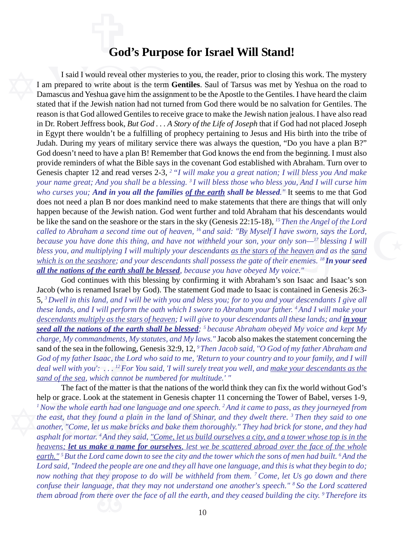### **God's Purpose for Israel Will Stand!**

vuldn't l<br>7 years of<br>to have<br>3 of wha<br>2 and ro in Egypt there wouldn't be a fulfilling of prophecy pertaining to Jesus and His birth into the tribe of I said I would reveal other mysteries to you, the<br>I am prepared to write about is the term Gentiles. Sau<br>Damascus and Yeshua gave him the assignment to be the<br>stated that if the Jewish nation had not turned from God<br>reason stated that if the Jewish nation had not turned from God there would be no salvation for Gentiles. The sky (Genesis 22:15-18), <sup>13</sup> Then the Angel of the Lord<br><sup>16</sup> and said: "By Myself I have sworn, says the Lord,<br>withheld your son, your only son—<sup>17</sup> blessing I will<br>escendants <u>as the stars of the heaven</u> and as the <u>sand</u> with Abraha<br>
; I will bless<br>
ss you, And i<br>
d." It seems<br>
ere are thing<br>
that his desember I said I would reveal other mysteries to you, the reader, prior to closing this work. The mystery I am prepared to write about is the term **Gentiles**. Saul of Tarsus was met by Yeshua on the road to Damascus and Yeshua gave him the assignment to be the Apostle to the Gentiles. I have heard the claim reason is that God allowed Gentiles to receive grace to make the Jewish nation jealous. I have also read in Dr. Robert Jeffress book, *But God . . . A Story of the Life of Joseph* that if God had not placed Joseph Judah. During my years of military service there was always the question, "Do you have a plan B?" God doesn't need to have a plan B! Remember that God knows the end from the beginning. I must also provide reminders of what the Bible says in the covenant God established with Abraham. Turn over to Genesis chapter 12 and read verses 2-3, *2 "I will make you a great nation; I will bless you And make your name great; And you shall be a blessing. 3 I will bless those who bless you, And I will curse him who curses you; And in you all the families of the earth shall be blessed."* It seems to me that God does not need a plan B nor does mankind need to make statements that there are things that will only happen because of the Jewish nation. God went further and told Abraham that his descendants would be like the sand on the seashore or the stars in the sky (Genesis 22:15-18), *15 Then the Angel of the Lord called to Abraham a second time out of heaven, 16 and said: "By Myself I have sworn, says the Lord, because you have done this thing, and have not withheld your son, your only son—17 blessing I will bless you, and multiplying I will multiply your descendants as the stars of the heaven and as the sand which is on the seashore; and your descendants shall possess the gate of their enemies.* <sup>18</sup> In your seed *all the nations of the earth shall be blessed, because you have obeyed My voice."*

mandments, i<br>
i the followir<br> *r Isaac, the L*<br> *vu':* ...<sup>12</sup>Fo<br>
which canno<br>
of the matter ontained<br>our descours des des des diffiles<br>the ded My v Jacob (who is renamed Israel by God). The statement God made to Isaac is contained in Genesis 26:3- God continues with this blessing by confirming it with Abraham's son Isaac and Isaac's son 5, *3 Dwell in this land, and I will be with you and bless you; for to you and your descendants I give all these lands, and I will perform the oath which I swore to Abraham your father. 4 And I will make your descendants multiply as the stars of heaven; I will give to your descendants all these lands; and in your seed all the nations of the earth shall be blessed; 5 because Abraham obeyed My voice and kept My charge, My commandments, My statutes, and My laws."* Jacob also makes the statement concerning the sand of the sea in the following, Genesis 32:9, 12, *9 Then Jacob said, "O God of my father Abraham and God of my father Isaac, the Lord who said to me, 'Return to your country and to your family, and I will deal well with you': . . . 12 For You said, 'I will surely treat you well, and make your descendants as the sand of the sea, which cannot be numbered for multitude.' "*

the peo<sub>l</sub><br>they pro<br>uage, th<br>there ov *Lord said, "Indeed the people are one and they all have one language, and this is what they begin to do;* help or grace. Look at the statement in Genesis chapter I<br>
<sup>1</sup>Now the whole earth had one language and one speech.<br>
the east, that they found a plain in the land of Shinar, another, "Come, let us make bricks and bake them *asphalt for mortar. 4 And they said, "Come, let us build ourselves a city, and a tower whose top is in the* The fact of the matter is that the nations of the world think they can fix the world without God's help or grace. Look at the statement in Genesis chapter 11 concerning the Tower of Babel, verses 1-9, *1 Now the whole earth had one language and one speech. 2 And it came to pass, as they journeyed from the east, that they found a plain in the land of Shinar, and they dwelt there. 3 Then they said to one another, "Come, let us make bricks and bake them thoroughly." They had brick for stone, and they had heavens; let us make a name for ourselves, lest we be scattered abroad over the face of the whole earth." 5 But the Lord came down to see the city and the tower which the sons of men had built. 6 And the now nothing that they propose to do will be withheld from them. 7 Come, let Us go down and there confuse their language, that they may not understand one another's speech." 8 So the Lord scattered them abroad from there over the face of all the earth, and they ceased building the city. 9 Therefore its*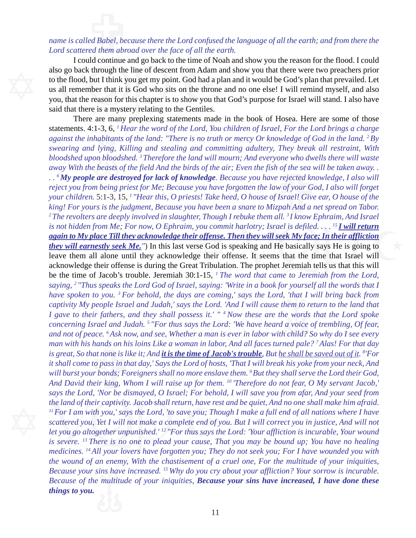### ed Babel, bet<br>ed Babel, bet<br>ed them abre *name is called Babel, because there the Lord confused the language of all the earth; and from there the Lord scattered them abroad over the face of all the earth.*

Tround continue and go back to the time of N<br>also go back through the line of descent from Adam<br>to the flood, but I think you get my point. God had a<br>us all remember that it is God who sits on the thror<br>you, that the reaso you, that the reason for this chapter is to show you that God's purpose for Israel will stand. I also have I could continue and go back to the time of Noah and show you the reason for the flood. I could also go back through the line of descent from Adam and show you that there were two preachers prior to the flood, but I think you get my point. God had a plan and it would be God's plan that prevailed. Let us all remember that it is God who sits on the throne and no one else! I will remind myself, and also said that there is a mystery relating to the Gentiles.

r 5, 6,<br>habitant<br>lying,<br>pn blood<br>beasts statements. 4:1-3, 6, *1 Hear the word of the Lord, You children of Israel, For the Lord brings a charge* There are many preplexing statements made in the book of Hosea. Here are some of those *against the inhabitants of the land: "There is no truth or mercy Or knowledge of God in the land. 2 By swearing and lying, Killing and stealing and committing adultery, They break all restraint, With bloodshed upon bloodshed. 3 Therefore the land will mourn; And everyone who dwells there will waste*

*Because your sins have increased.* <sup>15</sup> Why do you cry about your affliction? Your sorrow is incurable.<br> *Because of the multitude of your iniquities*, *Because your sins have increased*, *I have done these*<br> *All* the land of their captivity. Jacob shall return, have re.<br>
<sup>11</sup> For I am with you,' says the Lord, 'to save you; The scattered you, Yet I will not make a complete end of just you go altogether unpunished.<sup>'12</sup> "For thus s *And not of peace.* This how, and see, whether a mant is ever in tabor will child. So why ab I see every man with his hands on his loins Like a woman in labor, And all faces turned pale?<sup>7</sup> Alas! For that day is great, So  $\frac{d}{dx}$  that  $\frac{d}{dx}$ <br>  $\frac{d}{dx}$  a voice<br>  $\frac{d}{dx}$  child? you commit harlotry; Israel is defiled....<sup>15</sup> **I** will return<br>
r offense. Then they will seek My face; In their affliction<br>
rse God is speaking and He basically says He is going to<br>
ge their offense. It seems that the ti *away With the beasts of the field And the birds of the air; Even the fish of the sea will be taken away.* . . <sup>6</sup> *My people are destroyed for lack of knowledge. Because you have rejected knowledge, I also will reject you . . 6 My people are destroyed for lack of knowledge. Because you have rejected knowledge, I also will reject you from being priest for Me; Because you have forgotten the law of your God, I also will forget your children.* 5:1-3, 15, *1 "Hear this, O priests! Take heed, O house of Israel! Give ear, O house of the king! For yours is the judgment, Because you have been a snare to Mizpah And a net spread on Tabor.* <sup>2</sup> The revolters are deeply involved in slaughter, Though I rebuke them all. <sup>3</sup> I know Ephraim, And Israel *is not hidden from Me; For now, O Ephraim, you commit harlotry; Israel is defiled.* . . . <sup>15</sup>*I will return again to My place Till they acknowledge their offense. Then they will seek My face; In their affliction they will earnestly seek Me."*) In this last verse God is speaking and He basically says He is going to leave them all alone until they acknowledge their offense. It seems that the time that Israel will acknowledge their offense is during the Great Tribulation. The prophet Jeremiah tells us that this will be the time of Jacob's trouble. Jeremiah 30:1-15, *1 The word that came to Jeremiah from the Lord, saying, 2 "Thus speaks the Lord God of Israel, saying: 'Write in a book for yourself all the words that I have spoken to you. 3 For behold, the days are coming,' says the Lord, 'that I will bring back from captivity My people Israel and Judah,' says the Lord. 'And I will cause them to return to the land that I gave to their fathers, and they shall possess it.' " 4 Now these are the words that the Lord spoke concerning Israel and Judah. 5 "For thus says the Lord: 'We have heard a voice of trembling, Of fear, and not of peace. 6 Ask now, and see, Whether a man is ever in labor with child? So why do I see every man with his hands on his loins Like a woman in labor, And all faces turned pale? 7 Alas! For that day is great, So that none is like it; And it is the time of Jacob's trouble, But he shall be saved out of it. 8 'For it shall come to pass in that day,' Says the Lord of hosts, 'That I will break his yoke from your neck, And will burst your bonds; Foreigners shall no more enslave them. 9 But they shall serve the Lord their God, says the Lord, 'Nor be dismayed, O Israel; For behold, I will save you from afar, And your seed from the land of their captivity. Jacob shall return, have rest and be quiet, And no one shall make him afraid. 11 For I am with you,' says the Lord, 'to save you; Though I make a full end of all nations where I have scattered you, Yet I will not make a complete end of you. But I will correct you in justice, And will not let you go altogether unpunished.' 12 "For thus says the Lord: 'Your affliction is incurable, Your wound is severe. 13 There is no one to plead your cause, That you may be bound up; You have no healing medicines. 14 All your lovers have forgotten you; They do not seek you; For I have wounded you with the wound of an enemy, With the chastisement of a cruel one, For the multitude of your iniquities, Because of the multitude of your iniquities, Because your sins have increased, I have done these things to you.*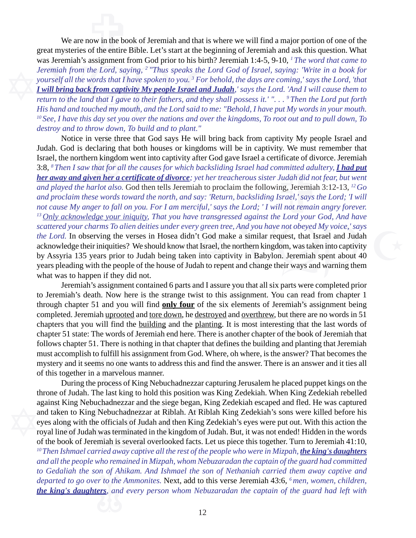*destroy and to throw down, To build and to plant."* Was selemian's assignment from God prior to ins onther<br>*Jeremiah from the Lord, saying,* <sup>2</sup> "Thus speaks the Lo.<br>yourself all the words that I have spoken to you.<sup>3</sup> For be<br>**I will bring back from captivity My people Isr**  *return to the land that I gave to their fathers, and they shall possess it.' ". . . 9 Then the Lord put forth* now in the book in the book of the entire We are now in the book of Jeremiah and that is where we will find a major portion of one of the great mysteries of the entire Bible. Let's start at the beginning of Jeremiah and ask this question. What was Jeremiah's assignment from God prior to his birth? Jeremiah 1:4-5, 9-10, *1 The word that came to Jeremiah from the Lord, saying, 2 "Thus speaks the Lord God of Israel, saying: 'Write in a book for yourself all the words that I have spoken to you. 3 For behold, the days are coming,' says the Lord, 'that I will bring back from captivity My people Israel and Judah,' says the Lord. 'And I will cause them to His hand and touched my mouth, and the Lord said to me: "Behold, I have put My words in your mouth. 10 See, I have this day set you over the nations and over the kingdoms, To root out and to pull down, To*

verse the<br>claring the share<br>in kingde y green tree, And you have not obeyed My voice,' says<br>
't God make a similar request, that Israel and Judah<br>
at Israel, the northern kingdom, was taken into captivity<br>
i into captivity in Babylon. Jeremiah spent about 40<br> meate of an<br>*Judah did no*<br>Judah did no<br>Israel,' says<br>Ill not remain Notice in verse three that God says He will bring back from captivity My people Israel and Judah. God is declaring that both houses or kingdoms will be in captivity. We must remember that Israel, the northern kingdom went into captivity after God gave Israel a certificate of divorce. Jeremiah 3:8, *8 Then I saw that for all the causes for which backsliding Israel had committed adultery, I had put her away and given her a certificate of divorce; yet her treacherous sister Judah did not fear, but went and played the harlot also.* God then tells Jeremiah to proclaim the following, Jeremiah 3:12-13, *12 Go and proclaim these words toward the north, and say: 'Return, backsliding Israel,' says the Lord; 'I will not cause My anger to fall on you. For I am merciful,' says the Lord; ' I will not remain angry forever. 13 Only acknowledge your iniquity, That you have transgressed against the Lord your God, And have scattered your charms To alien deities under every green tree, And you have not obeyed My voice,' says the Lord.* In observing the verses in Hosea didn't God make a similar request, that Israel and Judah acknowledge their iniquities? We should know that Israel, the northern kingdom, was taken into captivity by Assyria 135 years prior to Judah being taken into captivity in Babylon. Jeremiah spent about 40 years pleading with the people of the house of Judah to repent and change their ways and warning them what was to happen if they did not.

follows chapter 51 state. The words of setemant end netc. There is another enapter of the book of setemant from follows chapter 51. There is nothing in that chapter that defines the building and planting that Jeremiah must can rea<br>emiah's<br>at there<br>ing that<br>the boo Jeremiah's assignment contained 6 parts and I assure you that all six parts were completed prior to Jeremiah's death. Now here is the strange twist to this assignment. You can read from chapter 1 through chapter 51 and you will find **only four** of the six elements of Jeremiah's assignment being completed. Jeremiah uprooted and tore down, he destroyed and overthrew, but there are no words in 51 chapters that you will find the building and the planting. It is most interesting that the last words of chapter 51 state: The words of Jeremiah end here. There is another chapter of the book of Jeremiah that must accomplish to fulfill his assignment from God. Where, oh where, is the answer? That becomes the mystery and it seems no one wants to address this and find the answer. There is an answer and it ties all of this together in a marvelous manner.

to Gedaliah the son of Ahikam. And Ishmael the son of Nethaniah carried them away captive and<br>departed to go over to the Ammonites. Next, add to this verse Jeremiah 43:6, <sup>6</sup> men, women, children,<br>**the king's daughters**, a against King Nebuchadnezzar and the siege began, King<br>and taken to King Nebuchadnezzar at Riblah. At Riblah<br>eyes along with the officials of Judah and then King Zed<br>royal line of Judah was terminated in the kingdom of Juda of the book of Jeremiah is several overlooked facts. Let us piece this together. Turn to Jeremiah 41:10, During the process of King Nebuchadnezzar capturing Jerusalem he placed puppet kings on the throne of Judah. The last king to hold this position was King Zedekiah. When King Zedekiah rebelled against King Nebuchadnezzar and the siege began, King Zedekiah escaped and fled. He was captured and taken to King Nebuchadnezzar at Riblah. At Riblah King Zedekiah's sons were killed before his eyes along with the officials of Judah and then King Zedekiah's eyes were put out. With this action the royal line of Judah was terminated in the kingdom of Judah. But, it was not ended! Hidden in the words <sup>10</sup> Then Ishmael carried away captive all the rest of the people who were in Mizpah, *the king's daughters and all the people who remained in Mizpah, whom Nebuzaradan the captain of the guard had committed departed to go over to the Ammonites.* Next, add to this verse Jeremiah 43:6, *6 men, women, children, the king's daughters, and every person whom Nebuzaradan the captain of the guard had left with*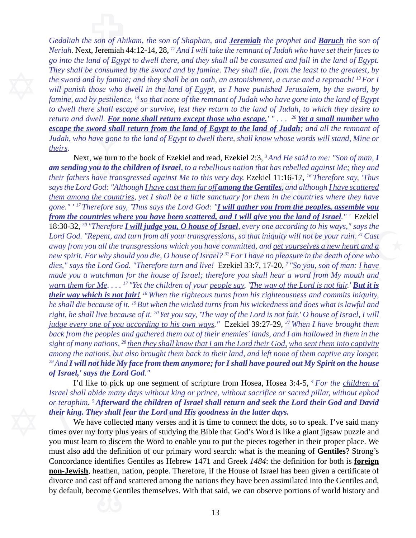*Judah, who have gone to the land of Egypt to dwell there, shall <u>know whose words will stand, Mine or theirs</u>.<br> Next, we turn to the book of Ezekiel and read, Ezekiel 2:3, <sup>3</sup> And He said to me: "Son of man, I am send escape the sword shall return from the land of Egypt to the land of Judah; and all the remnant of* go *into the tand of Egypt to awett there, and they sr*<br>They shall be consumed by the sword and by famine<br>the sword and by famine; and they shall be an oath,<br>will punish those who dwell in the land of Egypt,<br>famine, and by *famine, and by pestilence, 14 so that none of the remnant of Judah who have gone into the land of Egypt* e son of Ahi<br>t. Jeremiah *Gedaliah the son of Ahikam, the son of Shaphan, and Jeremiah the prophet and Baruch the son of Neriah.* Next, Jeremiah 44:12-14, 28, *12 And I will take the remnant of Judah who have set their faces to go into the land of Egypt to dwell there, and they shall all be consumed and fall in the land of Egypt. They shall be consumed by the sword and by famine. They shall die, from the least to the greatest, by the sword and by famine; and they shall be an oath, an astonishment, a curse and a reproach! 13 For I will punish those who dwell in the land of Egypt, as I have punished Jerusalem, by the sword, by to dwell there shall escape or survive, lest they return to the land of Judah, to which they desire to return and dwell. For none shall return except those who escape.*<sup>*' "... <sup>28</sup> Yet a small number who*</sup> *theirs.*

*sight of many nations, <sup>28</sup> then they shall know that I am the Lord their God, who sent them into captivity* among the nations, but also <u>brought them back to their land</u>, and <u>left none of them captive any longer</u>.<sup>29</sup> A pusness<br>is and deright<br>fair.' <u>O</u><br><sup>27</sup> When<br>U I am he **Example 3 All Solution** Surface of **Israel**, every one according to his ways," says the ansgressions, so that iniquity will not be your ruin. <sup>31</sup> Cast ou have committed, and get yourselves a new heart and a of Israel? <sup>3</sup>  $\frac{1}{16}$  is the sum to<br>s rebelled ag<br>1:16-17, <sup>16</sup> T<br><u>s</u>, and althour the countri Next, we turn to the book of Ezekiel and read, Ezekiel 2:3, *3 And He said to me: "Son of man, I am sending you to the children of Israel, to a rebellious nation that has rebelled against Me; they and their fathers have transgressed against Me to this very day.* Ezekiel 11:16-17, *16 Therefore say, 'Thus says the Lord God: "Although I have cast them far off among the Gentiles, and although I have scattered them among the countries, yet I shall be a little sanctuary for them in the countries where they have gone." ' 17 Therefore say, 'Thus says the Lord God: "I will gather you from the peoples, assemble you from the countries where you have been scattered, and I will give you the land of Israel." '* Ezekiel 18:30-32, *30 "Therefore I will judge you, O house of Israel, every one according to his ways," says the Lord God. "Repent, and turn from all your transgressions, so that iniquity will not be your ruin. 31 Cast away from you all the transgressions which you have committed, and get yourselves a new heart and a new spirit. For why should you die, O house of Israel? 32 For I have no pleasure in the death of one who dies," says the Lord God. "Therefore turn and live!* Ezekiel 33:7, 17-20, *7 "So you, son of man: I have made you a watchman for the house of Israel; therefore you shall hear a word from My mouth and warn them for Me.* . . . <sup>17</sup> "Yet the children of your people say, 'The way of the Lord is not fair.' **But it is** *their way which is not fair! 18 When the righteous turns from his righteousness and commits iniquity, he shall die because of it. 19 But when the wicked turns from his wickedness and does what is lawful and right, he shall live because of it.* <sup>20</sup> Yet you say, 'The way of the Lord is not fair.' O house of Israel, I will *judge every one of you according to his own ways."* Ezekiel 39:27-29, *27 When I have brought them back from the peoples and gathered them out of their enemies' lands, and I am hallowed in them in the among the nations, but also brought them back to their land, and left none of them captive any longer. 29 And I will not hide My face from them anymore; for I shall have poured out My Spirit on the house of Israel,' says the Lord God."*

I'd like to pick up one segment of scripture from Hosea, Hosea 3:4-5, *4 For the children of Israel shall abide many days without king or prince, without sacrifice or sacred pillar, without ephod their king. They shall fear the Lord and His goodness in the latter days.*

**non-Jewish**, heathen, nation, people. Therefore, if the House of Israel has been given a certificate of divorce and cast off and scattered among the nations they have been assimilated into the Gentiles and, by default, be or teraphim. <sup>5</sup> *Afterward the children of Israel shall return and seek the Lord their God and David*<br>their king. They shall fear the Lord and His goodness in the latter days.<br>We have collected many verses and it is time We have collected many verses and it is time to connect the dots, so to speak. I've said many times over my forty plus years of studying the Bible that God's Word is like a giant jigsaw puzzle and you must learn to discern the Word to enable you to put the pieces together in their proper place. We must also add the definition of our primary word search: what is the meaning of **Gentiles**? Strong's Concordance identifies Gentiles as Hebrew 1471 and Greek *1484*: the definition for both is **foreign** divorce and cast off and scattered among the nations they have been assimilated into the Gentiles and, by default, become Gentiles themselves. With that said, we can observe portions of world history and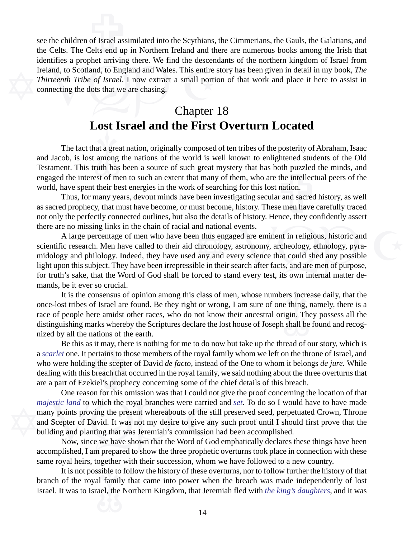Indication and Wales. This entire<br>Ireland, to Scotland, to England and Wales. This entire<br>Thirteenth Tribe of Israel. I now extract a small portion<br>connecting the dots that we are chasing.<br>Chapter of Israel ass<br>Celts end up see the children of Israel assimilated into the Scythians, the Cimmerians, the Gauls, the Galatians, and the Celts. The Celts end up in Northern Ireland and there are numerous books among the Irish that identifies a prophet arriving there. We find the descendants of the northern kingdom of Israel from Ireland, to Scotland, to England and Wales. This entire story has been given in detail in my book, *The Thirteenth Tribe of Israel*. I now extract a small portion of that work and place it here to assist in connecting the dots that we are chasing.

#### **Lost Israel and the First Overturn Located** Chapter 18

at a great<br>among<br>ruth has Testament. This truth has been a source of such great mystery that has both puzzled the minds, and engaged the interest of men to such an extent that many of them, who are the intellectual peers of the world, have spent th The fact that a great nation, originally composed of ten tribes of the posterity of Abraham, Isaac and Jacob, is lost among the nations of the world is well known to enlightened students of the Old engaged the interest of men to such an extent that many of them, who are the intellectual peers of the world, have spent their best energies in the work of searching for this lost nation.

Thus, for many years, devout minds have been investigating secular and sacred history, as well as sacred prophecy, that must have become, or must become, history. These men have carefully traced not only the perfectly connected outlines, but also the details of history. Hence, they confidently assert there are no missing links in the chain of racial and national events.

nd national events.<br>
in thus engaged are eminent in religious, historic and<br>
chronology, astronomy, archeology, ethnology, pyra-<br>
l any and every science that could shed any possible<br>
ble in their search after facts, and a A large percentage of men who have been thus engaged are eminent in religious, historic and scientific research. Men have called to their aid chronology, astronomy, archeology, ethnology, pyramidology and philology. Indeed, they have used any and every science that could shed any possible light upon this subject. They have been irrepressible in their search after facts, and are men of purpose, for truth's sake, that the Word of God shall be forced to stand every test, its own internal matter demands, be it ever so crucial.

ers incre<br>
e thing,<br>
igin. Th<br>
shall be It is the consensus of opinion among this class of men, whose numbers increase daily, that the once-lost tribes of Israel are found. Be they right or wrong, I am sure of one thing, namely, there is a race of people here amidst other races, who do not know their ancestral origin. They possess all the distinguishing marks whereby the Scriptures declare the lost house of Joseph shall be found and recognized by all the nations of the earth.

Be this as it may, there is nothing for me to do now but take up the thread of our story, which is *t* one. It pertains to those members of the royal family whom we left on the throne of Israel, and are holding the scepte a *scarlet* one. It pertains to those members of the royal family whom we left on the throne of Israel, and who were holding the scepter of David *de facto,* instead of the One to whom it belongs *de jure.* While dealing with this breach that occurred in the royal family, we said nothing about the three overturns that are a part of Ezekiel's prophecy concerning some of the chief details of this breach.

majestic land to which the royal branches were carried<br>many points proving the present whereabouts of the stil<br>and Scepter of David. It was not my desire to give any<br>building and planting that was Jeremiah's commission h<br>N One reason for this omission was that I could not give the proof concerning the location of that *majestic land* to which the royal branches were carried and *set*. To do so I would have to have made many points proving the present whereabouts of the still preserved seed, perpetuated Crown, Throne and Scepter of David. It was not my desire to give any such proof until I should first prove that the building and planting that was Jeremiah's commission had been accomplished.

 Now, since we have shown that the Word of God emphatically declares these things have been accomplished, I am prepared to show the three prophetic overturns took place in connection with these same royal heirs, together with their succession, whom we have followed to a new country.

It is not possible to follow the history of these overturns, nor to follow further the history of that of the royal family that came into power when the breach was made independently of lost t was to Israel, the Northern K branch of the royal family that came into power when the breach was made independently of lost Israel. It was to Israel, the Northern Kingdom, that Jeremiah fled with *the king's daughters*, and it was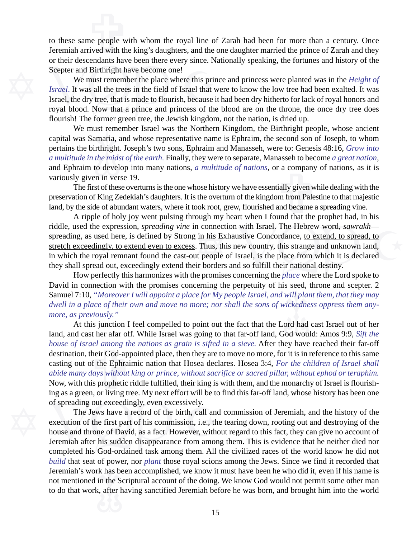me people w to these same people with whom the royal line of Zarah had been for more than a century. Once Jeremiah arrived with the king's daughters, and the one daughter married the prince of Zarah and they or their descendants have been there every since. Nationally speaking, the fortunes and history of the Scepter and Birthright have become one!

Scepter and Birthright have been there every since. No<br>Scepter and Birthright have become one!<br>We must remember the place where this print<br>*Israel*. It was all the trees in the field of Israel that v<br>Israel, the dry tree, Israel, the dry tree, that is made to flourish, because it had been dry hitherto for lack of royal honors and We must remember the place where this prince and princess were planted was in the *Height of Israel*. It was all the trees in the field of Israel that were to know the low tree had been exalted. It was royal blood. Now that a prince and princess of the blood are on the throne, the once dry tree does flourish! The former green tree, the Jewish kingdom, not the nation, is dried up.

> capital was Samaria, and whose representative name is Ephraim, the second son of Joseph, to whom<br>pertains the birthright. Joseph's two sons, Ephraim and Manasseh, were to: Genesis 48:16, *Grow into*<br>a multitude in the mids We must remember Israel was the Northern Kingdom, the Birthright people, whose ancient pertains the birthright. Joseph's two sons, Ephraim and Manasseh, were to: Genesis 48:16, *Grow into a multitude in the midst of the earth.* Finally, they were to separate, Manasseh to become *a great nation*, variously given in verse 19.

> a *matritude in the mass of the earm*. I many, they were to separate, *Manasser to become a great nation*, and Ephraim to develop into many nations, *a multitude of nations*, or a company of nations, as it is variously giv The first of these overturns is the one whose history we have essentially given while dealing with the preservation of King Zedekiah's daughters. It is the overturn of the kingdom from Palestine to that majestic land, by the side of abundant waters, where it took root, grew, flourished and became a spreading vine.

n connection with Israel. The Hebrew word, *sawrakh*—<br>
i in his Exhaustive Concordance, <u>to extend, to spread, to</u><br>
i. Thus, this new country, this strange and unknown land,<br>
it people of Israel, is the place from which it A ripple of holy joy went pulsing through my heart when I found that the prophet had, in his riddle, used the expression, *spreading vine* in connection with Israel. The Hebrew word, *sawrakh* spreading, as used here, is defined by Strong in his Exhaustive Concordance, to extend, to spread, to stretch exceedingly, to extend even to excess. Thus, this new country, this strange and unknown land, in which the royal remnant found the cast-out people of Israel, is the place from which it is declared they shall spread out, exceedingly extend their borders and so fulfill their national destiny.

*will pla<br>vickedne*<br>ord had<br>od wou How perfectly this harmonizes with the promises concerning the *place* where the Lord spoke to David in connection with the promises concerning the perpetuity of his seed, throne and scepter. 2 Samuel 7:10, *"Moreover I will appoint a place for My people Israel, and will plant them, that they may dwell in a place of their own and move no more; nor shall the sons of wickedness oppress them anymore, as previously."*

*house of Israel among the nations as grain is sifted in a sieve.* After they have reached their far-off destination, their God-appointed place, then they are to move no more, for it is in reference to this same casting ou At this junction I feel compelled to point out the fact that the Lord had cast Israel out of her land, and cast her afar off. While Israel was going to that far-off land, God would: Amos 9:9, *Sift the* destination, their God-appointed place, then they are to move no more, for it is in reference to this same casting out of the Ephraimic nation that Hosea declares. Hosea 3:4, *For the children of Israel shall abide many days without king or prince, without sacrifice or sacred pillar, without ephod or teraphim.* Now, with this prophetic riddle fulfilled, their king is with them, and the monarchy of Israel is flourishing as a green, or living tree. My next effort will be to find this far-off land, whose history has been one of spreading out exceedingly, even excessively.

Jeremiah's work has been accomplished, we know it must have been he who did it, even if his name is<br>not mentioned in the Scriptural account of the doing. We know God would not permit some other man<br>to do that work, after h of spreading out exceedingly, even excessively.<br>The Jews have a record of the birth, call and<br>execution of the first part of his commission, i.e., the<br>house and throne of David, as a fact. However, with<br>Jeremiah after his Jeremiah after his sudden disappearance from among them. This is evidence that he neither died nor The Jews have a record of the birth, call and commission of Jeremiah, and the history of the execution of the first part of his commission, i.e., the tearing down, rooting out and destroying of the house and throne of David, as a fact. However, without regard to this fact, they can give no account of completed his God-ordained task among them. All the civilized races of the world know he did not *build* that seat of power, nor *plant* those royal scions among the Jews. Since we find it recorded that not mentioned in the Scriptural account of the doing. We know God would not permit some other man to do that work, after having sanctified Jeremiah before he was born, and brought him into the world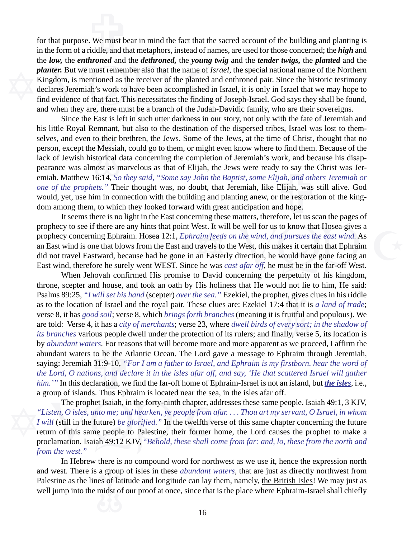planter. But we must remember also that the name of Is.<br>Kingdom, is mentioned as the receiver of the planted are declares Jeremiah's work to have been accomplished in<br>find evidence of that fact. This necessitates the findi find evidence of that fact. This necessitates the finding of Joseph-Israel. God says they shall be found, Let us we work<br>we work the work of the work of the work of the same work. for that purpose. We must bear in mind the fact that the sacred account of the building and planting is in the form of a riddle, and that metaphors, instead of names, are used for those concerned; the *high* and the *low,* the *enthroned* and the *dethroned,* the *young twig* and the *tender twigs,* the *planted* and the *planter.* But we must remember also that the name of *Israel*, the special national name of the Northern Kingdom, is mentioned as the receiver of the planted and enthroned pair. Since the historic testimony declares Jeremiah's work to have been accomplished in Israel, it is only in Israel that we may hope to and when they are, there must be a branch of the Judah-Davidic family, who are their sovereigns.

selves, and even to their brethren, the Jews. Some of the Jews, at the time of Christ, thought that no<br>person, except the Messiah, could go to them, or might even know where to find them. Because of the<br>lack of Jewish hist his little Royal Remnant, but also to the destination of the dispersed tribes, Israel was lost to thempearance was almost as marvelous as that of Elijah, the Jews were ready to say the Christ was Jeremiah. Matthew 16:14, *So they said*, "*Some say John the Baptist, some Elijah, and others Jeremiah or one of the prophets.* Since the East is left in such utter darkness in our story, not only with the fate of Jeremiah and person, except the Messiah, could go to them, or might even know where to find them. Because of the lack of Jewish historical data concerning the completion of Jeremiah's work, and because his disapemiah. Matthew 16:14, *So they said, "Some say John the Baptist, some Elijah, and others Jeremiah or one of the prophets."* Their thought was, no doubt, that Jeremiah, like Elijah, was still alive. God would, yet, use him in connection with the building and planting anew, or the restoration of the kingdom among them, to which they looked forward with great anticipation and hope.

prophecy to see if there are any hints that point West. It will be well for us to know that Hosea gives a<br>prophecy concerning Ephraim. Hosea 12:1, *Ephraim feeds on the wind, and pursues the east wind*. As<br>an East wind is It seems there is no light in the East concerning these matters, therefore, let us scan the pages of prophecy concerning Ephraim. Hosea 12:1, *Ephraim feeds on the wind, and pursues the east wind.* As an East wind is one that blows from the East and travels to the West, this makes it certain that Ephraim did not travel Eastward, because had he gone in an Easterly direction, he would have gone facing an East wind, therefore he surely went WEST. Since he was *cast afar off*, he must be in the far-off West.

ters. For rease to be the A<br>a 31:9-10, "*I*<br>ons, and declaration, we Psalms 89:25, *"I will set his hand* (scepter) *over the sea.*" Ezekiel, the prophet, gives clues in his riddle as to the location of Israel and the royal pair. These clues are: Ezekiel 17:4 that it is *a land of trade*; v When Jehovah confirmed His promise to David concerning the perpetuity of his kingdom, throne, scepter and house, and took an oath by His holiness that He would not lie to him, He said: as to the location of Israel and the royal pair. These clues are: Ezekiel 17:4 that it is *a land of trade*; verse 8, it has *good soil*; verse 8, which *brings forth branches* (meaning it is fruitful and populous). We are told: Verse 4, it has a *city of merchants*; verse 23, where *dwell birds of every sort; in the shadow of its branches* various people dwell under the protection of its rulers; and finally, verse 5, its location is by *abundant waters.* For reasons that will become more and more apparent as we proceed, I affirm the abundant waters to be the Atlantic Ocean. The Lord gave a message to Ephraim through Jeremiah, saying: Jeremiah 31:9-10, *"For I am a father to Israel, and Ephraim is my firstborn. hear the word of the Lord, O nations, and declare it in the isles afar off, and say, 'He that scattered Israel will gather him.'"* In this declaration, we find the far-off home of Ephraim-Israel is not an island, but *the isles*, i.e., a group of islands. Thus Ephraim is located near the sea, in the isles afar off.

The prophet Isaiah, in the forty-ninth chapter, add<br>
"Listen, O isles, unto me; and hearken, ye people from af<br>
I will (still in the future) be glorified." In the twelfth ver<br>
return of this same people to Palestine, their proclamation. Isaiah 49:12 KJV, "*Behold, these shall come from far: and, lo, these from the north and* The prophet Isaiah, in the forty-ninth chapter, addresses these same people. Isaiah 49:1, 3 KJV, *"Listen, O isles, unto me; and hearken, ye people from afar. . . . Thou art my servant, O Israel, in whom I will* (still in the future) *be glorified."* In the twelfth verse of this same chapter concerning the future return of this same people to Palestine, their former home, the Lord causes the prophet to make a *from the west."*

and west. There is a group of isles in these *abundant waters*, that are just as directly northwest from Palestine as the lines of latitude and longitude can lay them, namely, <u>the British Isles</u>! We may just as well jump In Hebrew there is no compound word for northwest as we use it, hence the expression north Palestine as the lines of latitude and longitude can lay them, namely, the British Isles! We may just as well jump into the midst of our proof at once, since that is the place where Ephraim-Israel shall chiefly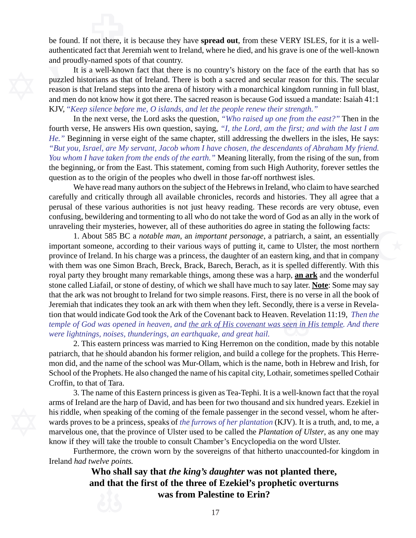not there, it<br>d fact that Je be found. If not there, it is because they have **spread out**, from these VERY ISLES, for it is a wellauthenticated fact that Jeremiah went to Ireland, where he died, and his grave is one of the well-known and proudly-named spots of that country.

It is a well-known fact that there is no cours<br>puzzled historians as that of Ireland. There is both<br>reason is that Ireland steps into the arena of history<br>and men do not know how it got there. The sacred re<br>KJV, "*Keep sil*  and men do not know how it got there. The sacred reason is because God issued a mandate: Isaiah 41:1 It is a well-known fact that there is no country's history on the face of the earth that has so puzzled historians as that of Ireland. There is both a sacred and secular reason for this. The secular reason is that Ireland steps into the arena of history with a monarchical kingdom running in full blast, KJV, "*Keep silence before me, O islands, and let the people renew their strength."*

ng in ve<br> *el*, *are*<br> *ave take*<br>
(or fron fourth verse, He answers His own question, saying, *"I, the Lord, am the first; and with the last I am* In the next verse, the Lord asks the question, *"Who raised up one from the east?"* Then in the *He."* Beginning in verse eight of the same chapter, still addressing the dwellers in the isles, He says: *"But you, Israel, are My servant, Jacob whom I have chosen, the descendants of Abraham My friend. You whom I have taken from the ends of the earth."* Meaning literally, from the rising of the sun, from question as to the origin of the peoples who dwell in those far-off northwest isles.

the beginning, or from the East. This statement, coming from such High Authority, forever settles the question as to the origin of the peoples who dwell in those far-off northwest isles.<br>We have read many authors on the su We have read many authors on the subject of the Hebrews in Ireland, who claim to have searched carefully and critically through all available chronicles, records and histories. They all agree that a perusal of these various authorities is not just heavy reading. These records are very obtuse, even confusing, bewildering and tormenting to all who do not take the word of God as an ally in the work of unraveling their mysteries, however, all of these authorities do agree in stating the following facts:

that the ark was not brought to Ireland for two simple reasons. First, there is no verse in all the book of Jeremiah that indicates they took an ark with them when they left. Secondly, there is a verse in Revelation that w nese authorities do agree in stating the following facts:<br> *important personage*, a patriarch, a saint, an essentially<br>
us ways of putting it, came to Ulster, the most northern<br>
ress, the daughter of an eastern king, and t with them was one Simon Brach, Breck, Brack, Barech, Berach, as it is spelled differently. With this 1. About 585 BC a *notable man*, an *important personage*, a patriarch, a saint, an essentially important someone, according to their various ways of putting it, came to Ulster, the most northern province of Ireland. In his charge was a princess, the daughter of an eastern king, and that in company royal party they brought many remarkable things, among these was a harp, **an ark** and the wonderful stone called Liafail, or stone of destiny, of which we shall have much to say later. **Note**: Some may say Jeremiah that indicates they took an ark with them when they left. Secondly, there is a verse in Revelation that would indicate God took the Ark of the Covenant back to Heaven. Revelation 11:19, *Then the temple of God was opened in heaven, and the ark of His covenant was seen in His temple. And there were lightnings, noises, thunderings, an earthquake, and great hail.*

ress, *noises*, *i*<br>is eastern pri<br>at he should a<br>l the name of<br>Prophets. H<br>at of Tara. 2. This eastern princess was married to King Herremon on the condition, made by this notable patriarch, that he should abandon his former religion, and build a college for the prophets. This Herremon did, and the name of the school was Mur-Ollam, which is the name, both in Hebrew and Irish, for School of the Prophets. He also changed the name of his capital city, Lothair, sometimes spelled Cothair Croffin, to that of Tara.

arms of Ireland are the harp of David, and has been for his riddle, when speaking of the coming of the femal wards proves to be a princess, speaks of the furrows comarvelous one, that the province of Ulster used to be know know if they will take the trouble to consult Chamber's Encyclopedia on the word Ulster. 3. The name of this Eastern princess is given as Tea-Tephi. It is a well-known fact that the royal arms of Ireland are the harp of David, and has been for two thousand and six hundred years. Ezekiel in his riddle, when speaking of the coming of the female passenger in the second vessel, whom he afterwards proves to be a princess, speaks of *the furrows of her plantation* (KJV). It is a truth, and, to me, a marvelous one, that the province of Ulster used to be called the *Plantation of Ulster*, as any one may

Furthermore, the crown worn by the sovereigns of that hitherto unaccounted-for kingdom in Ireland *had twelve points.*

> Vho sh<br>
> d that<br>
> d C **Who shall say that** *the king's daughter* **was not planted there, and that the first of the three of Ezekiel's prophetic overturns was from Palestine to Erin?**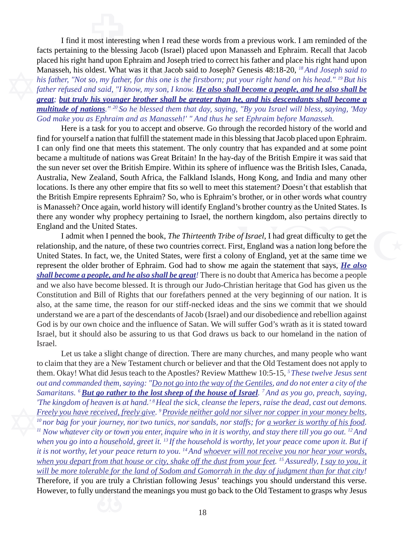placed ins right hand upon Ephrami and Joseph tried to C<br>Manasseh, his oldest. What was it that Jacob said to Jos<br>his father, "Not so, my father, for this one is the firstbor<br>father refused and said, "I know, my son, I kn *great; but truly his younger brother shall be greater than he, and his descendants shall become a* most interes<br>to the bless I find it most interesting when I read these words from a previous work. I am reminded of the facts pertaining to the blessing Jacob (Israel) placed upon Manasseh and Ephraim. Recall that Jacob placed his right hand upon Ephraim and Joseph tried to correct his father and place his right hand upon Manasseh, his oldest. What was it that Jacob said to Joseph? Genesis 48:18-20, *18 And Joseph said to his father, "Not so, my father, for this one is the firstborn; put your right hand on his head." 19 But his* father refused and said, "I know, my son, I know. *He also shall become a people, and he also shall be multitude of nations." 20 So he blessed them that day, saying, "By you Israel will bless, saying, 'May God make you as Ephraim and as Manasseh!' " And thus he set Ephraim before Manasseh.*

Find for yourself a nation that fulfill the statement made in this blessing that Jacob placed upon Ephraim.<br>I can only find one that meets this statement. The only country that has expanded and at some point became a multi Here is a task for you to accept and observe. Go through the recorded history of the world and the sun never set over the British Empire. Within its sphere of influence was the British Isles, Canada, Australia, New Zealand, South Africa, the Falkland Islands, Hong Kong, and India and many other locations. Is there a I can only find one that meets this statement. The only country that has expanded and at some point became a multitude of nations was Great Britain! In the hay-day of the British Empire it was said that Australia, New Zealand, South Africa, the Falkland Islands, Hong Kong, and India and many other locations. Is there any other empire that fits so well to meet this statement? Doesn't that establish that the British Empire represents Ephraim? So, who is Ephraim's brother, or in other words what country is Manasseh? Once again, world history will identify England's brother country as the United States. Is there any wonder why prophecy pertaining to Israel, the northern kingdom, also pertains directly to England and the United States.

Constitution and Bill of Rights that our forefathers penned at the very beginning of our nation. It is<br>also, at the same time, the reason for our stiff-necked ideas and the sins we commit that we should<br>understand we are a *Exercist Tribe of Israel*, I had great difficulty to get the es correct. First, England was a nation long before the refirst a colony of England, yet at the same time we d to show me again the statement that says, **He als** I admit when I penned the book, *The Thirteenth Tribe of Israel*, I had great difficulty to get the relationship, and the nature, of these two countries correct. First, England was a nation long before the United States. In fact, we, the United States, were first a colony of England, yet at the same time we represent the older brother of Ephraim. God had to show me again the statement that says, *He also shall become a people, and he also shall be great!* There is no doubt that America has become a people and we also have become blessed. It is through our Judo-Christian heritage that God has given us the also, at the same time, the reason for our stiff-necked ideas and the sins we commit that we should understand we are a part of the descendants of Jacob (Israel) and our disobedience and rebellion against God is by our own choice and the influence of Satan. We will suffer God's wrath as it is stated toward Israel, but it should also be assuring to us that God draws us back to our homeland in the nation of Israel.

<u>uble for</u><br>are truly<br>indersta The kingdom of heaven is at hand.'<sup>8</sup> Heal the sick, clean<br>Freely you have received, freely give.<sup>9</sup> Provide neither g<br><sup>10</sup> nor bag for your journey, nor two tunics, nor sandals,<br><sup>11</sup> Now whatever city or town you enter, *when you go into a household, greet it. 13 If the household is worthy, let your peace come upon it. But if* ke a slight change<br>y are a New T<br>at did Jesus t<br>ded them, sa Let us take a slight change of direction. There are many churches, and many people who want to claim that they are a New Testament church or believer and that the Old Testament does not apply to them. Okay! What did Jesus teach to the Apostles? Review Matthew 10:5-15, *5 These twelve Jesus sent out and commanded them, saying: "Do not go into the way of the Gentiles, and do not enter a city of the Samaritans. 6 But go rather to the lost sheep of the house of Israel. 7 And as you go, preach, saying, 'The kingdom of heaven is at hand.' 8 Heal the sick, cleanse the lepers, raise the dead, cast out demons. Freely you have received, freely give. 9 Provide neither gold nor silver nor copper in your money belts, 10 nor bag for your journey, nor two tunics, nor sandals, nor staffs; for a worker is worthy of his food. 11 Now whatever city or town you enter, inquire who in it is worthy, and stay there till you go out. 12 And it is not worthy, let your peace return to you. 14 And whoever will not receive you nor hear your words, when you depart from that house or city, shake off the dust from your feet. 15 Assuredly, I say to you, it will be more tolerable for the land of Sodom and Gomorrah in the day of judgment than for that city!* Therefore, if you are truly a Christian following Jesus' teachings you should understand this verse. However, to fully understand the meanings you must go back to the Old Testament to grasps why Jesus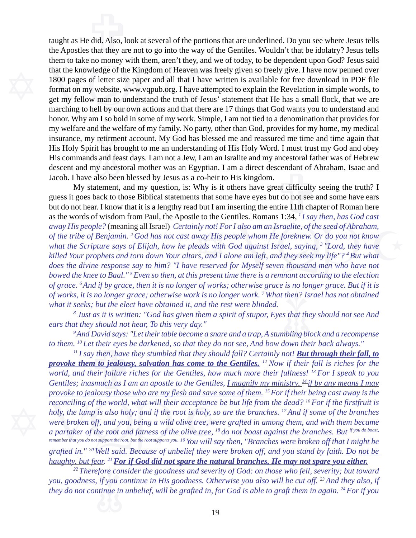insurance, my retirment account. My God has blessed me and reassured me time and time again that His Holy Spirit has brought to me an understanding of His Holy Word. I must trust my God and obey His commands and feast days my welfare and the welfare of my family. No party, other than God, provides for my home, my medical them to take no money with them, aren't they, and v<br>that the knowledge of the Kingdom of Heaven was f<br>1800 pages of letter size paper and all that I have v<br>format on my website, www.vqpub.org. I have attent<br>get my fellow m get my fellow man to understand the truth of Jesus' statement that He has a small flock, that we are  $\frac{1}{2}$  did. Also, lot taught as He did. Also, look at several of the portions that are underlined. Do you see where Jesus tells the Apostles that they are not to go into the way of the Gentiles. Wouldn't that be idolatry? Jesus tells them to take no money with them, aren't they, and we of today, to be dependent upon God? Jesus said that the knowledge of the Kingdom of Heaven was freely given so freely give. I have now penned over 1800 pages of letter size paper and all that I have written is available for free download in PDF file format on my website, www.vqpub.org. I have attempted to explain the Revelation in simple words, to marching to hell by our own actions and that there are 17 things that God wants you to understand and honor. Why am I so bold in some of my work. Simple, I am not tied to a denomination that provides for His Holy Spirit has brought to me an understanding of His Holy Word. I must trust my God and obey His commands and feast days. I am not a Jew, I am an Isralite and my ancestoral father was of Hebrew descent and my ancestoral mother was an Egyptian. I am a direct descendant of Abraham, Isaac and Jacob. I have also been blessed by Jesus as a co-heir to His kingdom.

of works, it is no longer grace; otherwise work is no longer work.<sup>7</sup> What then? Israel has not obtained<br>what it seeks; but the elect have obtained it, and the rest were blinded.<br><sup>8</sup> Just as it is written: "God has given t nly not! For I also am an Israelite, of the seed of Abraham,<br>way His people whom He foreknew. Or do you not know<br>eads with God against Israel, saying, <sup>3</sup> "Lord, they have<br>rs, and I alone am left, and they seek my life"? <sup></sup> *does the divine response say to him? "I have reserved for Myself seven thousand men who have not* cendant of A<br>at difficulty<br>t do not see a<br>tire 11th cha My statement, and my question, is: Why is it others have great difficulty seeing the truth? I guess it goes back to those Biblical statements that some have eyes but do not see and some have ears but do not hear. I know that it is a lengthy read but I am inserting the entire 11th chapter of Roman here as the words of wisdom from Paul, the Apostle to the Gentiles. Romans 1:34, *1 I say then, has God cast away His people?* (meaning all Israel) *Certainly not! For I also am an Israelite, of the seed of Abraham, of the tribe of Benjamin. 2 God has not cast away His people whom He foreknew. Or do you not know what the Scripture says of Elijah, how he pleads with God against Israel, saying, 3 "Lord, they have killed Your prophets and torn down Your altars, and I alone am left, and they seek my life"? 4 But what bowed the knee to Baal." 5 Even so then, at this present time there is a remnant according to the election of grace. 6 And if by grace, then it is no longer of works; otherwise grace is no longer grace. But if it is what it seeks; but the elect have obtained it, and the rest were blinded.*

*8 Just as it is written: "God has given them a spirit of stupor, Eyes that they should not see And ears that they should not hear, To this very day."*

*9 And David says: "Let their table become a snare and a trap, A stumbling block and a recompense*

reconciling of the world, what will their acceptance<br>holy, the lump is also holy; and if the root is holy, so<br>were broken off, and you, being a wild olive tree, we<br>a partaker of the root and fatness of the olive tree,  $^{1$  *remember that you do not support the root, but the root supports you. 19 You will say then, "Branches were broken off that I might be tha David says.* Let their have become a state and a rap, it stambing block and a recomp to them. <sup>10</sup> Let their eyes be darkened, so that they do not see, And bow down their back always."<br><sup>11</sup> I say then, have they stum *11 I say then, have they stumbled that they should fall? Certainly not! But through their fall, to provoke them to jealousy, salvation has come to the Gentiles. 12 Now if their fall is riches for the world, and their failure riches for the Gentiles, how much more their fullness! 13 For I speak to you Gentiles; inasmuch as I am an apostle to the Gentiles, I magnify my ministry, <sup>14</sup> if by any means I may provoke to jealousy those who are my flesh and save some of them. 15 For if their being cast away is the reconciling of the world, what will their acceptance be but life from the dead? 16 For if the firstfruit is holy, the lump is also holy; and if the root is holy, so are the branches. 17 And if some of the branches were broken off, and you, being a wild olive tree, were grafted in among them, and with them became a partaker of the root and fatness of the olive tree, 18 do not boast against the branches. But if you do boast, grafted in." 20 Well said. Because of unbelief they were broken off, and you stand by faith. Do not be haughty, but fear. 21 For if God did not spare the natural branches, He may not spare you either.*

> <sup>22</sup> Therefore consider the goodness and severity of God: on those who fell, severity; but toward odness, if you continue in His goodness. Otherwise you also will be cut off. <sup>23</sup> And they also, if not continue in unbelief *you, goodness, if you continue in His goodness. Otherwise you also will be cut off. 23 And they also, if they do not continue in unbelief, will be grafted in, for God is able to graft them in again. 24 For if you*

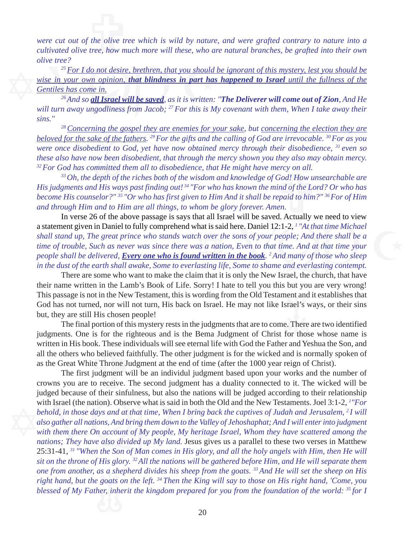$\int$  the olive tree. how m *were cut out of the olive tree which is wild by nature, and were grafted contrary to nature into a cultivated olive tree, how much more will these, who are natural branches, be grafted into their own olive tree?*

<sup>25</sup> For I do not desire, brethren, that you should<br>wise in your own opinion, **that blindness in part has**<br>Gentiles has come in.<br><sup>26</sup> And so **all Israel will be saved**, as it is written:<br>will turn away ungodliness from Ja *25 For I do not desire, brethren, that you should be ignorant of this mystery, lest you should be wise in your own opinion, that blindness in part has happened to Israel until the fullness of the Gentiles has come in.*

 *26 And so all Israel will be saved, as it is written: "The Deliverer will come out of Zion, And He will turn away ungodliness from Jacob; 27 For this is My covenant with them, When I take away their sins."*

*beloved for the sake of the fathers.* <sup>29</sup> *For the gifts and the calling of God are irrevocable.* <sup>30</sup> *For as you* were once disobedient to God, yet have now obtained mercy through their disobedience, <sup>31</sup> even so these *28 Concerning the gospel they are enemies for your sake, but concerning the election they are were once disobedient to God, yet have now obtained mercy through their disobedience, 31 even so these also have now been disobedient, that through the mercy shown you they also may obtain mercy. 32 For God has committed them all to disobedience, that He might have mercy on all.*

ercy on all.<br>God! How un<br>God! How un<br>ind of the Lo<br>epaid to him.<br>en. *33 Oh, the depth of the riches both of the wisdom and knowledge of God! How unsearchable are His judgments and His ways past finding out! 34 "For who has known the mind of the Lord? Or who has become His counselor?" 35 "Or who has first given to Him And it shall be repaid to him?" 36 For of Him and through Him and to Him are all things, to whom be glory forever. Amen.*

what is said here. Daniel 12:1-2, <sup>1</sup> "At that time Michael<br>ch over the sons of your people; And there shall be a<br>ras a nation, Even to that time. And at that time your<br>**id written in the book**. <sup>2</sup> And many of those who s In verse 26 of the above passage is says that all Israel will be saved. Actually we need to view a statement given in Daniel to fully comprehend what is said here. Daniel 12:1-2, *1 "At that time Michael shall stand up, The great prince who stands watch over the sons of your people; And there shall be a time of trouble, Such as never was since there was a nation, Even to that time. And at that time your people shall be delivered, Every one who is found written in the book. 2 And many of those who sleep in the dust of the earth shall awake, Some to everlasting life, Some to shame and everlasting contempt.*

This passage is not in the New Testament, this is wording from the Old Testament and it establishes that<br>God has not turned, nor will not turn, His back on Israel. He may not like Israel's ways, or their sins<br>but, they are There are some who want to make the claim that it is only the New Israel, the church, that have their name written in the Lamb's Book of Life. Sorry! I hate to tell you this but you are very wrong! God has not turned, nor will not turn, His back on Israel. He may not like Israel's ways, or their sins but, they are still His chosen people!

written in His book. These individuals will see eternal life with God the Father and Yeshua the Son, and all the others who believed faithfully. The other judgment is for the wicked and is normally spoken of as the Great W The final portion of this mystery rests in the judgments that are to come. There are two identified judgments. One is for the righteous and is the Bema Judgment of Christ for those whose name is all the others who believed faithfully. The other judgment is for the wicked and is normally spoken of as the Great White Throne Judgment at the end of time (after the 1000 year reign of Christ).

as a she<br>*goats d*<br>her, inhe with Israel (the nation). Observe what is said in both the C<br>behold, in those days and at that time, When I bring bace<br>also gather all nations, And bring them down to the Valley<br>with them there On account of My people, My *nations; They have also divided up My land.* Jesus gives us a parallel to these two verses in Matthew The first judgment will be an individul judgment based upon your works and the number of crowns you are to receive. The second judgment has a duality connected to it. The wicked will be judged because of their sinfulness, but also the nations will be judged according to their relationship with Israel (the nation). Observe what is said in both the Old and the New Testaments. Joel 3:1-2, *<sup>1</sup> "For behold, in those days and at that time, When I bring back the captives of Judah and Jerusalem, <sup>2</sup>I will also gather all nations, And bring them down to the Valley of Jehoshaphat; And I will enter into judgment with them there On account of My people, My heritage Israel, Whom they have scattered among the* 25:31-41, *31 "When the Son of Man comes in His glory, and all the holy angels with Him, then He will sit on the throne of His glory. 32 All the nations will be gathered before Him, and He will separate them one from another, as a shepherd divides his sheep from the goats. 33 And He will set the sheep on His right hand, but the goats on the left. 34 Then the King will say to those on His right hand, 'Come, you blessed of My Father, inherit the kingdom prepared for you from the foundation of the world: 35 for I*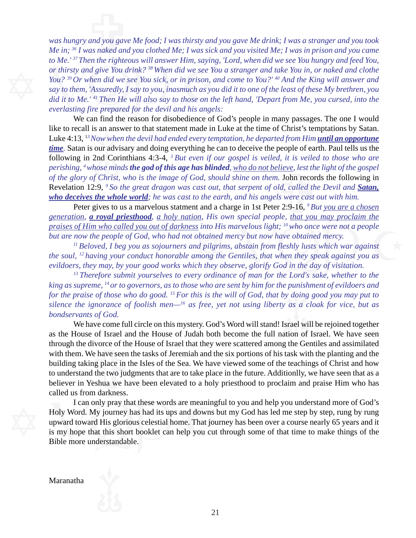Figure 1.1 Then the righteous will distinct the search of thirsty and give You drink?  $38$  When did we see You?  $39$  Or when did we see You sick, or in prison, a say to them, 'Assuredly, I say to you, inasmuch as you did *did it to Me.' 41 Then He will also say to those on the left hand, 'Depart from Me, you cursed, into the* and you gavenus<br>and you gavenus<br>as naked and *was hungry and you gave Me food; I was thirsty and you gave Me drink; I was a stranger and you took Me in; 36 I was naked and you clothed Me; I was sick and you visited Me; I was in prison and you came to Me.' 37 Then the righteous will answer Him, saying, 'Lord, when did we see You hungry and feed You, or thirsty and give You drink? 38 When did we see You a stranger and take You in, or naked and clothe You? 39 Or when did we see You sick, or in prison, and come to You?' 40 And the King will answer and say to them, 'Assuredly, I say to you, inasmuch as you did it to one of the least of these My brethren, you everlasting fire prepared for the devil and his angels:*

 $\frac{1}{2}$  ow where  $\frac{1}{2}$  our adv:<br>  $\frac{1}{2}$  or  $\frac{1}{2}$  or  $\frac{1}{2}$  or  $\frac{1}{2}$  or  $\frac{1}{2}$  or  $\frac{1}{2}$  or  $\frac{1}{2}$  or  $\frac{1}{2}$  or  $\frac{1}{2}$  or  $\frac{1}{2}$  or  $\frac{1}{2}$  or  $\frac{1}{2}$  or  $\frac{1}{2}$  or  $\frac{1}{2}$  or like to recall is an answer to that statement made in Luke at the time of Christ's temptations by Satan. *perishing, 4 whose minds the god of this age has blinded, who do not believe, lest the light of the gospel* of the glory of Christ, who is the image of God, should shine on them. John records the following in Revelation 1 We can find the reason for disobedience of God's people in many passages. The one I would Luke 4:13, <sup>13</sup> Now when the devil had ended every temptation, he departed from Him *until an opportune time.* Satan is our advisary and doing everything he can to deceive the people of earth. Paul tells us the following in 2nd Corinthians 4:3-4, *3 But even if our gospel is veiled, it is veiled to those who are of the glory of Christ, who is the image of God, should shine on them.* John records the following in Revelation 12:9, <sup>9</sup> So the great dragon was cast out, that serpent of old, called the Devil and **Satan**, *who deceives the whole world; he was cast to the earth, and his angels were cast out with him.*

Peter gives to us a marvelous statment and a charge in 1st Peter 2:9-16, *9 But you are a chosen generation, a royal priesthood, a holy nation, His own special people, that you may proclaim the praises of Him who called you out of darkness into His marvelous light; 10 who once were not a people but are now the people of God, who had not obtained mercy but now have obtained mercy.*

 $\frac{S}{S}$  into His marvelous light; <sup>10</sup> who once were not a people<br>obtained mercy but now have obtained mercy.<br>ad pilgrims, abstain from fleshly lusts which war against<br>umong the Gentiles, that when they speak against yo *11 Beloved, I beg you as sojourners and pilgrims, abstain from fleshly lusts which war against the soul, 12 having your conduct honorable among the Gentiles, that when they speak against you as evildoers, they may, by your good works which they observe, glorify God in the day of visitation.*

by *doing*<br>as a c<br>srael wi<br>tion of *13 Therefore submit yourselves to every ordinance of man for the Lord's sake, whether to the king as supreme, 14 or to governors, as to those who are sent by him for the punishment of evildoers and for the praise of those who do good. 15 For this is the will of God, that by doing good you may put to silence the ignorance of foolish men—16 as free, yet not using liberty as a cloak for vice, but as bondservants of God.*

as the House of Israel and the House of Jadan both become the full hation of Israel. We have seen<br>through the divorce of the House of Israel that they were scattered among the Gentiles and assimilated<br>with them. We have se We have come full circle on this mystery. God's Word will stand! Israel will be rejoined together as the House of Israel and the House of Judah both become the full nation of Israel. We have seen with them. We have seen the tasks of Jeremiah and the six portions of his task with the planting and the building taking place in the Isles of the Sea. We have viewed some of the teachings of Christ and how to understand the two judgments that are to take place in the future. Additionlly, we have seen that as a believer in Yeshua we have been elevated to a holy priesthood to proclaim and praise Him who has called us from darkness.

I can only pray that these words are meaning<br>Holy Word. My journey has had its ups and downs b<br>upward toward His glorious celestial home. That jour<br>is my hope that this short booklet can help you cut<br>Bible more understanda I can only pray that these words are meaningful to you and help you understand more of God's Holy Word. My journey has had its ups and downs but my God has led me step by step, rung by rung upward toward His glorious celestial home. That journey has been over a course nearly 65 years and it is my hope that this short booklet can help you cut through some of that time to make things of the Bible more understandable.

Maranatha